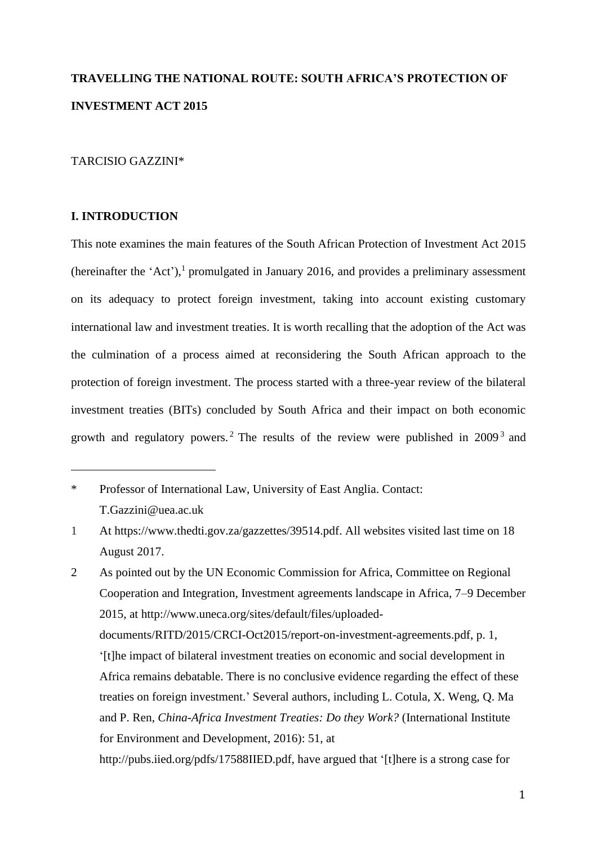# **TRAVELLING THE NATIONAL ROUTE: SOUTH AFRICA'S PROTECTION OF INVESTMENT ACT 2015**

# TARCISIO GAZZINI\*

## **I. INTRODUCTION**

 $\overline{a}$ 

This note examines the main features of the South African Protection of Investment Act 2015 (hereinafter the 'Act'), 1 promulgated in January 2016, and provides a preliminary assessment on its adequacy to protect foreign investment, taking into account existing customary international law and investment treaties. It is worth recalling that the adoption of the Act was the culmination of a process aimed at reconsidering the South African approach to the protection of foreign investment. The process started with a three-year review of the bilateral investment treaties (BITs) concluded by South Africa and their impact on both economic growth and regulatory powers.<sup>2</sup> The results of the review were published in  $2009<sup>3</sup>$  and

<sup>\*</sup> Professor of International Law, University of East Anglia. Contact: T.Gazzini@uea.ac.uk

<sup>1</sup> At [https://www.thedti.gov.za/gazzettes/39514.pdf.](https://www.thedti.gov.za/gazzettes/39514.pdf) All websites visited last time on 18 August 2017.

<sup>2</sup> As pointed out by the UN Economic Commission for Africa, Committee on Regional Cooperation and Integration, Investment agreements landscape in Africa, 7–9 December 2015, at [http://www.uneca.org/sites/default/files/uploaded](http://www.uneca.org/sites/default/files/uploaded-documents/RITD/2015/CRCI-Oct2015/report-on-investment-agreements.pdf)[documents/RITD/2015/CRCI-Oct2015/report-on-investment-agreements.pdf,](http://www.uneca.org/sites/default/files/uploaded-documents/RITD/2015/CRCI-Oct2015/report-on-investment-agreements.pdf) p. 1, '[t]he impact of bilateral investment treaties on economic and social development in Africa remains debatable. There is no conclusive evidence regarding the effect of these treaties on foreign investment.' Several authors, including [L. Cotula,](http://pubs.iied.org/search/?a=L+Cotula) [X. Weng,](http://pubs.iied.org/search/?a=X+Weng) [Q. Ma](http://pubs.iied.org/search/?a=Q+Ma) and [P. Ren,](http://pubs.iied.org/search/?a=P+Ren) *China-Africa Investment Treaties: Do they Work?* (International Institute for Environment and Development, 2016): 51, at http://pubs.iied.org/pdfs/17588IIED.pdf, have argued that '[t]here is a strong case for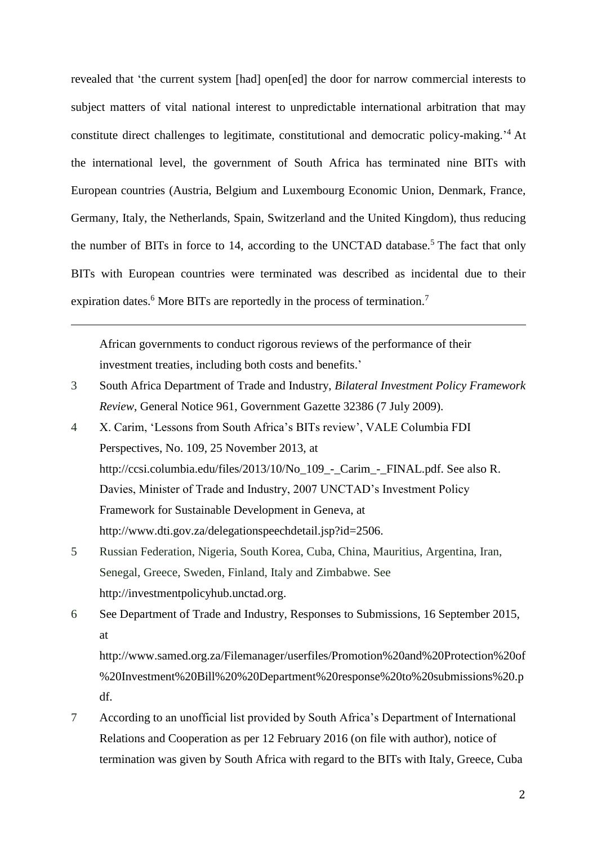revealed that 'the current system [had] open[ed] the door for narrow commercial interests to subject matters of vital national interest to unpredictable international arbitration that may constitute direct challenges to legitimate, constitutional and democratic policy-making.' <sup>4</sup> At the international level, the government of South Africa has terminated nine BITs with European countries (Austria, Belgium and Luxembourg Economic Union, Denmark, France, Germany, Italy, the Netherlands, Spain, Switzerland and the United Kingdom), thus reducing the number of BITs in force to 14, according to the UNCTAD database.<sup>5</sup> The fact that only BITs with European countries were terminated was described as incidental due to their expiration dates.<sup>6</sup> More BITs are reportedly in the process of termination.<sup>7</sup>

<span id="page-1-0"></span>African governments to conduct rigorous reviews of the performance of their investment treaties, including both costs and benefits.'

 $\overline{a}$ 

- 3 South Africa Department of Trade and Industry, *Bilateral Investment Policy Framework Review*, General Notice 961, Government Gazette 32386 (7 July 2009).
- 4 X. Carim, 'Lessons from South Africa's BITs review', VALE Columbia FDI Perspectives, No. 109, 25 November 2013, at [http://ccsi.columbia.edu/files/2013/10/No\\_109\\_-\\_Carim\\_-\\_FINAL.pdf.](http://ccsi.columbia.edu/files/2013/10/No_109_-_Carim_-_FINAL.pdf) See also R. Davies, Minister of Trade and Industry, 2007 UNCTAD's Investment Policy Framework for Sustainable Development in Geneva, at [http://www.dti.gov.za/delegationspeechdetail.jsp?id=2506.](http://www.dti.gov.za/delegationspeechdetail.jsp?id=2506)
- 5 Russian Federation, Nigeria, South Korea, Cuba, China, Mauritius, Argentina, Iran, Senegal, Greece, Sweden, Finland, Italy and Zimbabwe. See [http://investmentpolicyhub.unctad.org.](http://investmentpolicyhub.unctad.org/)
- 6 See Department of Trade and Industry, Responses to Submissions, 16 September 2015, at

http://www.samed.org.za/Filemanager/userfiles/Promotion%20and%20Protection%20of %20Investment%20Bill%20%20Department%20response%20to%20submissions%20.p df.

7 According to an unofficial list provided by South Africa's Department of International Relations and Cooperation as per 12 February 2016 (on file with author), notice of termination was given by South Africa with regard to the BITs with Italy, Greece, Cuba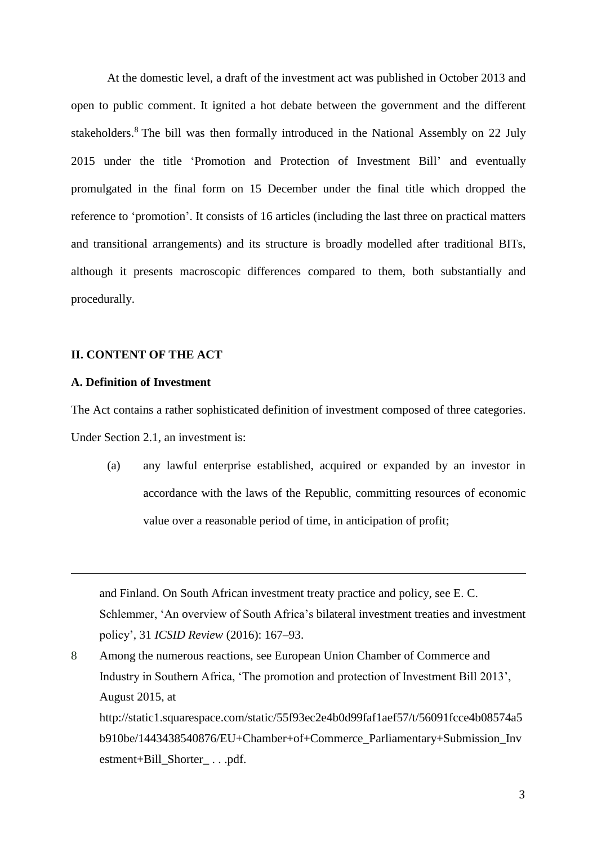At the domestic level, a draft of the investment act was published in October 2013 and open to public comment. It ignited a hot debate between the government and the different stakeholders.<sup>8</sup> The bill was then formally introduced in the National Assembly on 22 July 2015 under the title 'Promotion and Protection of Investment Bill' and eventually promulgated in the final form on 15 December under the final title which dropped the reference to 'promotion'. It consists of 16 articles (including the last three on practical matters and transitional arrangements) and its structure is broadly modelled after traditional BITs, although it presents macroscopic differences compared to them, both substantially and procedurally.

### **II. CONTENT OF THE ACT**

## **A. Definition of Investment**

 $\overline{a}$ 

The Act contains a rather sophisticated definition of investment composed of three categories. Under Section 2.1, an investment is:

(a) any lawful enterprise established, acquired or expanded by an investor in accordance with the laws of the Republic, committing resources of economic value over a reasonable period of time, in anticipation of profit;

and Finland. On South African investment treaty practice and policy, see E. C. Schlemmer, 'An overview of South Africa's bilateral investment treaties and investment policy', 31 *ICSID Review* (2016): 167–93.

8 Among the numerous reactions, see European Union Chamber of Commerce and Industry in Southern Africa, 'The promotion and protection of Investment Bill 2013', August 2015, at http://static1.squarespace.com/static/55f93ec2e4b0d99faf1aef57/t/56091fcce4b08574a5 b910be/1443438540876/EU+Chamber+of+Commerce\_Parliamentary+Submission\_Inv estment+Bill\_Shorter\_ . . .pdf.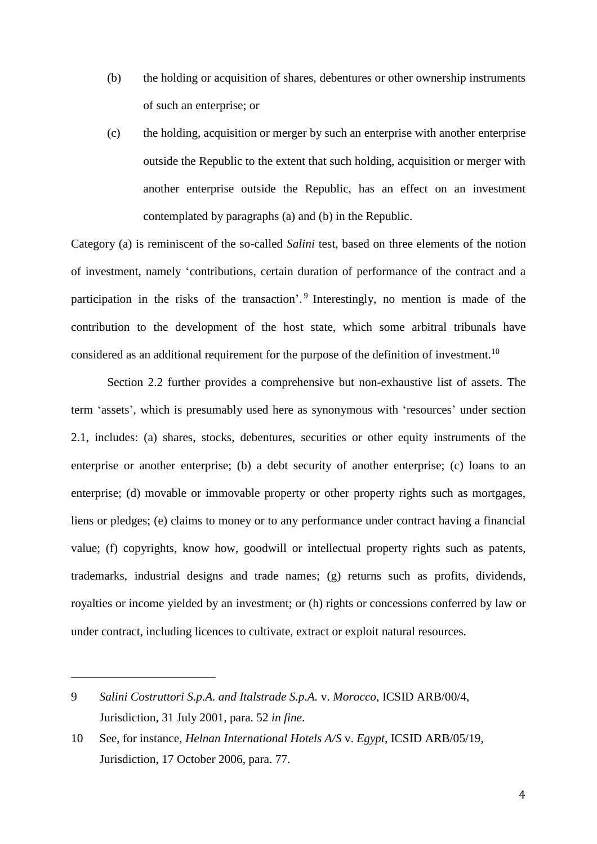- (b) the holding or acquisition of shares, debentures or other ownership instruments of such an enterprise; or
- (c) the holding, acquisition or merger by such an enterprise with another enterprise outside the Republic to the extent that such holding, acquisition or merger with another enterprise outside the Republic, has an effect on an investment contemplated by paragraphs (a) and (b) in the Republic.

Category (a) is reminiscent of the so-called *Salini* test, based on three elements of the notion of investment, namely 'contributions, certain duration of performance of the contract and a participation in the risks of the transaction'.<sup>9</sup> Interestingly, no mention is made of the contribution to the development of the host state, which some arbitral tribunals have considered as an additional requirement for the purpose of the definition of investment.<sup>10</sup>

Section 2.2 further provides a comprehensive but non-exhaustive list of assets. The term 'assets', which is presumably used here as synonymous with 'resources' under section 2.1, includes: (a) shares, stocks, debentures, securities or other equity instruments of the enterprise or another enterprise; (b) a debt security of another enterprise; (c) loans to an enterprise; (d) movable or immovable property or other property rights such as mortgages, liens or pledges; (e) claims to money or to any performance under contract having a financial value; (f) copyrights, know how, goodwill or intellectual property rights such as patents, trademarks, industrial designs and trade names; (g) returns such as profits, dividends, royalties or income yielded by an investment; or (h) rights or concessions conferred by law or under contract, including licences to cultivate, extract or exploit natural resources.

<sup>9</sup> *Salini Costruttori S.p.A. and Italstrade S.p.A.* v. *Morocco*, ICSID ARB/00/4, Jurisdiction, 31 July 2001, para. 52 *in fine*.

<sup>10</sup> See, for instance, *Helnan International Hotels A/S* v. *Egypt*, ICSID ARB/05/19, Jurisdiction, 17 October 2006, para. 77.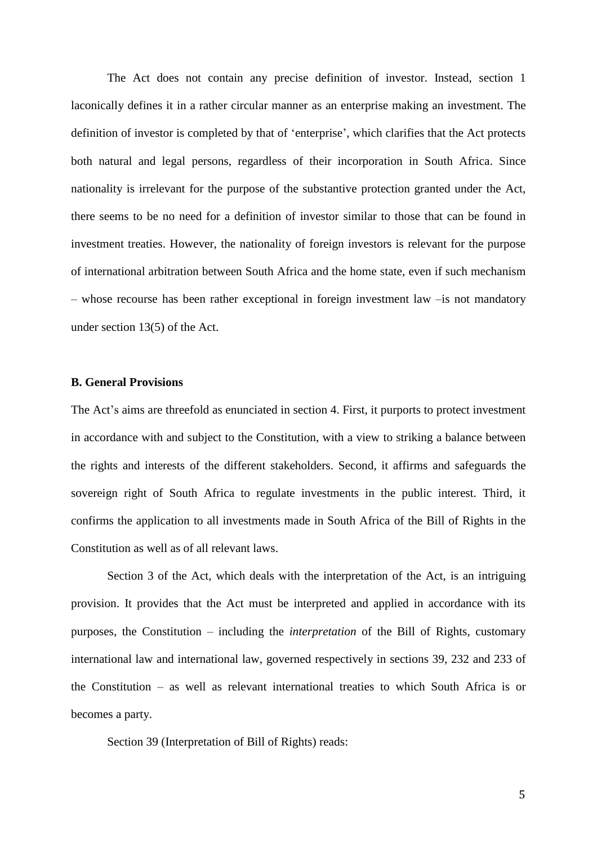The Act does not contain any precise definition of investor. Instead, section 1 laconically defines it in a rather circular manner as an enterprise making an investment. The definition of investor is completed by that of 'enterprise', which clarifies that the Act protects both natural and legal persons, regardless of their incorporation in South Africa. Since nationality is irrelevant for the purpose of the substantive protection granted under the Act, there seems to be no need for a definition of investor similar to those that can be found in investment treaties. However, the nationality of foreign investors is relevant for the purpose of international arbitration between South Africa and the home state, even if such mechanism – whose recourse has been rather exceptional in foreign investment law –is not mandatory under section 13(5) of the Act.

#### **B. General Provisions**

The Act's aims are threefold as enunciated in section 4. First, it purports to protect investment in accordance with and subject to the Constitution, with a view to striking a balance between the rights and interests of the different stakeholders. Second, it affirms and safeguards the sovereign right of South Africa to regulate investments in the public interest. Third, it confirms the application to all investments made in South Africa of the Bill of Rights in the Constitution as well as of all relevant laws.

Section 3 of the Act, which deals with the interpretation of the Act, is an intriguing provision. It provides that the Act must be interpreted and applied in accordance with its purposes, the Constitution – including the *interpretation* of the Bill of Rights, customary international law and international law, governed respectively in sections 39, 232 and 233 of the Constitution – as well as relevant international treaties to which South Africa is or becomes a party.

Section 39 (Interpretation of Bill of Rights) reads: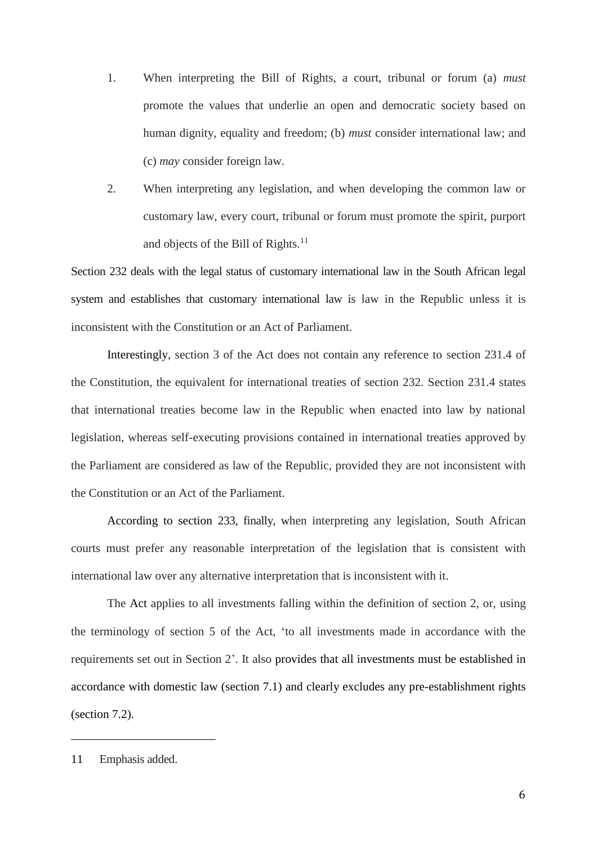- 1. When interpreting the Bill of Rights, a court, tribunal or forum (a) *must* promote the values that underlie an open and democratic society based on human dignity, equality and freedom; (b) *must* consider international law; and (c) *may* consider foreign law.
- 2. When interpreting any legislation, and when developing the common law or customary law, every court, tribunal or forum must promote the spirit, purport and objects of the Bill of Rights. $11$

Section 232 deals with the legal status of customary international law in the South African legal system and establishes that customary international law is law in the Republic unless it is inconsistent with the Constitution or an Act of Parliament.

Interestingly, section 3 of the Act does not contain any reference to section 231.4 of the Constitution, the equivalent for international treaties of section 232. Section 231.4 states that international treaties become law in the Republic when enacted into law by national legislation, whereas self-executing provisions contained in international treaties approved by the Parliament are considered as law of the Republic, provided they are not inconsistent with the Constitution or an Act of the Parliament.

According to section 233, finally, when interpreting any legislation, South African courts must prefer any reasonable interpretation of the legislation that is consistent with international law over any alternative interpretation that is inconsistent with it.

The Act applies to all investments falling within the definition of section 2, or, using the terminology of section 5 of the Act, 'to all investments made in accordance with the requirements set out in Section 2'. It also provides that all investments must be established in accordance with domestic law (section 7.1) and clearly excludes any pre-establishment rights (section 7.2).

<sup>11</sup> Emphasis added.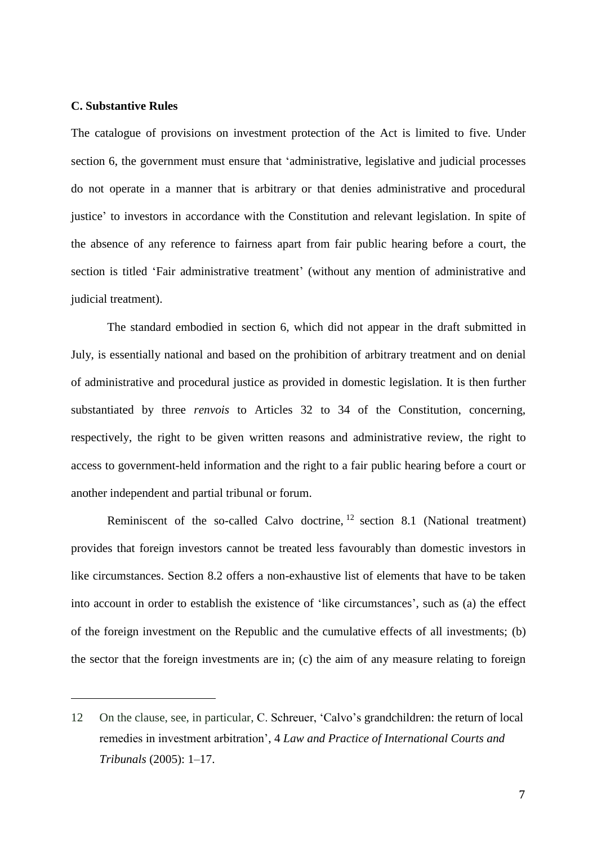## **C. Substantive Rules**

 $\overline{a}$ 

The catalogue of provisions on investment protection of the Act is limited to five. Under section 6, the government must ensure that 'administrative, legislative and judicial processes do not operate in a manner that is arbitrary or that denies administrative and procedural justice' to investors in accordance with the Constitution and relevant legislation. In spite of the absence of any reference to fairness apart from fair public hearing before a court, the section is titled 'Fair administrative treatment' (without any mention of administrative and judicial treatment).

The standard embodied in section 6, which did not appear in the draft submitted in July, is essentially national and based on the prohibition of arbitrary treatment and on denial of administrative and procedural justice as provided in domestic legislation. It is then further substantiated by three *renvois* to Articles 32 to 34 of the Constitution, concerning, respectively, the right to be given written reasons and administrative review, the right to access to government-held information and the right to a fair public hearing before a court or another independent and partial tribunal or forum.

Reminiscent of the so-called Calvo doctrine, <sup>12</sup> section 8.1 (National treatment) provides that foreign investors cannot be treated less favourably than domestic investors in like circumstances. Section 8.2 offers a non-exhaustive list of elements that have to be taken into account in order to establish the existence of 'like circumstances', such as (a) the effect of the foreign investment on the Republic and the cumulative effects of all investments; (b) the sector that the foreign investments are in; (c) the aim of any measure relating to foreign

<sup>12</sup> On the clause, see, in particular, C. Schreuer, 'Calvo's grandchildren: the return of local remedies in investment arbitration', 4 *Law and Practice of International Courts and Tribunals* (2005): 1–17.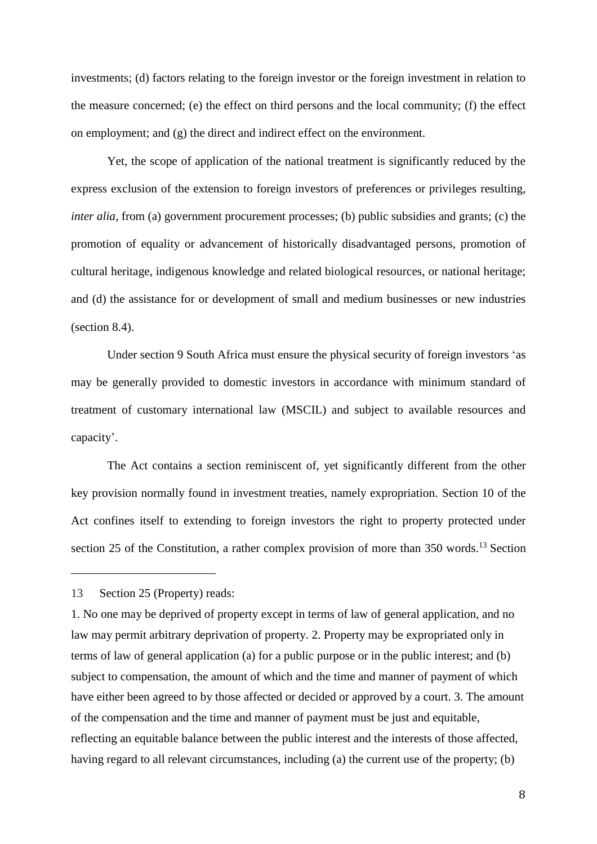investments; (d) factors relating to the foreign investor or the foreign investment in relation to the measure concerned; (e) the effect on third persons and the local community; (f) the effect on employment; and (g) the direct and indirect effect on the environment.

Yet, the scope of application of the national treatment is significantly reduced by the express exclusion of the extension to foreign investors of preferences or privileges resulting, *inter alia*, from (a) government procurement processes; (b) public subsidies and grants; (c) the promotion of equality or advancement of historically disadvantaged persons, promotion of cultural heritage, indigenous knowledge and related biological resources, or national heritage; and (d) the assistance for or development of small and medium businesses or new industries (section 8.4).

Under section 9 South Africa must ensure the physical security of foreign investors 'as may be generally provided to domestic investors in accordance with minimum standard of treatment of customary international law (MSCIL) and subject to available resources and capacity'.

The Act contains a section reminiscent of, yet significantly different from the other key provision normally found in investment treaties, namely expropriation. Section 10 of the Act confines itself to extending to foreign investors the right to property protected under section 25 of the Constitution, a rather complex provision of more than 350 words.<sup>13</sup> Section

<sup>13</sup> Section 25 (Property) reads:

<sup>1.</sup> No one may be deprived of property except in terms of law of general application, and no law may permit arbitrary deprivation of property. 2. Property may be expropriated only in terms of law of general application (a) for a public purpose or in the public interest; and (b) subject to compensation, the amount of which and the time and manner of payment of which have either been agreed to by those affected or decided or approved by a court. 3. The amount of the compensation and the time and manner of payment must be just and equitable, reflecting an equitable balance between the public interest and the interests of those affected, having regard to all relevant circumstances, including (a) the current use of the property; (b)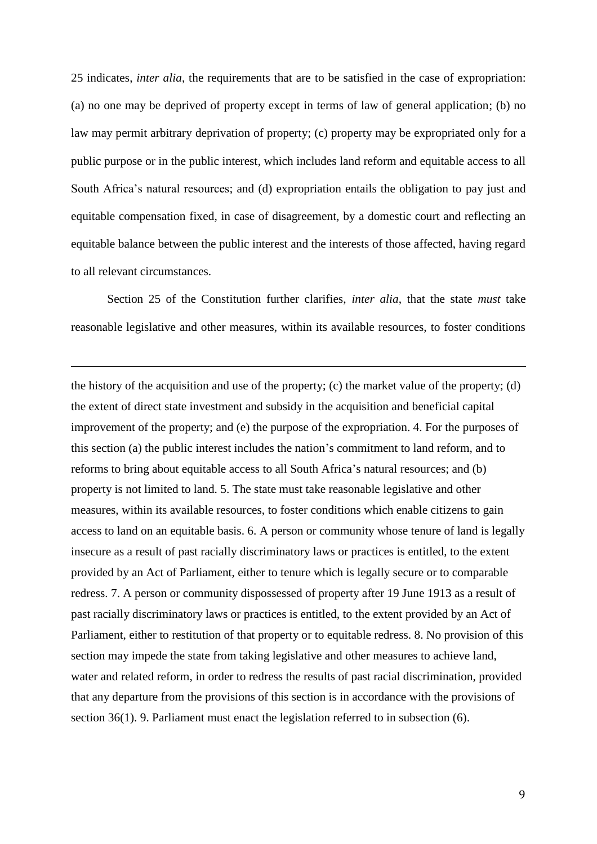25 indicates, *inter alia*, the requirements that are to be satisfied in the case of expropriation: (a) no one may be deprived of property except in terms of law of general application; (b) no law may permit arbitrary deprivation of property; (c) property may be expropriated only for a public purpose or in the public interest, which includes land reform and equitable access to all South Africa's natural resources; and (d) expropriation entails the obligation to pay just and equitable compensation fixed, in case of disagreement, by a domestic court and reflecting an equitable balance between the public interest and the interests of those affected, having regard to all relevant circumstances.

Section 25 of the Constitution further clarifies, *inter alia*, that the state *must* take reasonable legislative and other measures, within its available resources, to foster conditions

 $\overline{a}$ 

the history of the acquisition and use of the property; (c) the market value of the property; (d) the extent of direct state investment and subsidy in the acquisition and beneficial capital improvement of the property; and (e) the purpose of the expropriation. 4. For the purposes of this section (a) the public interest includes the nation's commitment to land reform, and to reforms to bring about equitable access to all South Africa's natural resources; and (b) property is not limited to land. 5. The state must take reasonable legislative and other measures, within its available resources, to foster conditions which enable citizens to gain access to land on an equitable basis. 6. A person or community whose tenure of land is legally insecure as a result of past racially discriminatory laws or practices is entitled, to the extent provided by an Act of Parliament, either to tenure which is legally secure or to comparable redress. 7. A person or community dispossessed of property after 19 June 1913 as a result of past racially discriminatory laws or practices is entitled, to the extent provided by an Act of Parliament, either to restitution of that property or to equitable redress. 8. No provision of this section may impede the state from taking legislative and other measures to achieve land, water and related reform, in order to redress the results of past racial discrimination, provided that any departure from the provisions of this section is in accordance with the provisions of section 36(1). 9. Parliament must enact the legislation referred to in subsection (6).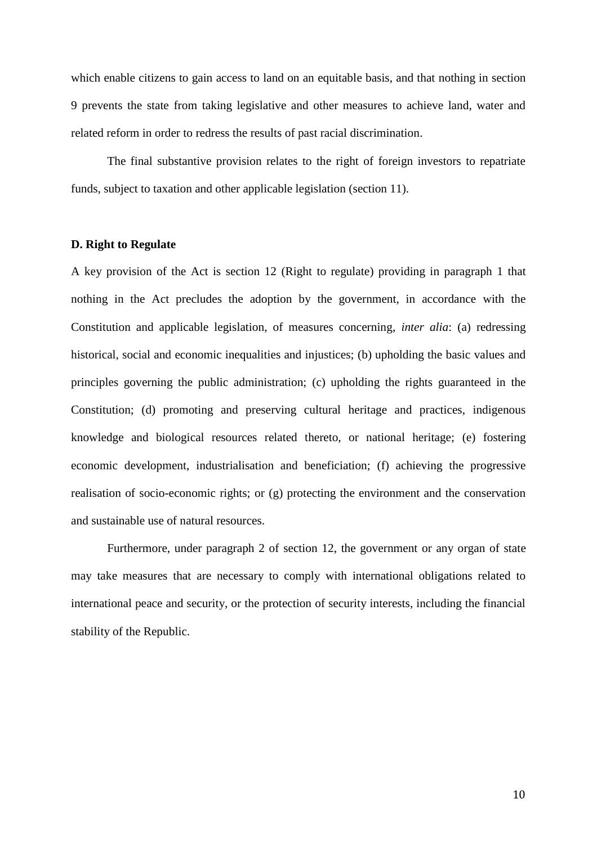which enable citizens to gain access to land on an equitable basis, and that nothing in section 9 prevents the state from taking legislative and other measures to achieve land, water and related reform in order to redress the results of past racial discrimination.

The final substantive provision relates to the right of foreign investors to repatriate funds, subject to taxation and other applicable legislation (section 11).

### **D. Right to Regulate**

A key provision of the Act is section 12 (Right to regulate) providing in paragraph 1 that nothing in the Act precludes the adoption by the government, in accordance with the Constitution and applicable legislation, of measures concerning, *inter alia*: (a) redressing historical, social and economic inequalities and injustices; (b) upholding the basic values and principles governing the public administration; (c) upholding the rights guaranteed in the Constitution; (d) promoting and preserving cultural heritage and practices, indigenous knowledge and biological resources related thereto, or national heritage; (e) fostering economic development, industrialisation and beneficiation; (f) achieving the progressive realisation of socio-economic rights; or (g) protecting the environment and the conservation and sustainable use of natural resources.

Furthermore, under paragraph 2 of section 12, the government or any organ of state may take measures that are necessary to comply with international obligations related to international peace and security, or the protection of security interests, including the financial stability of the Republic.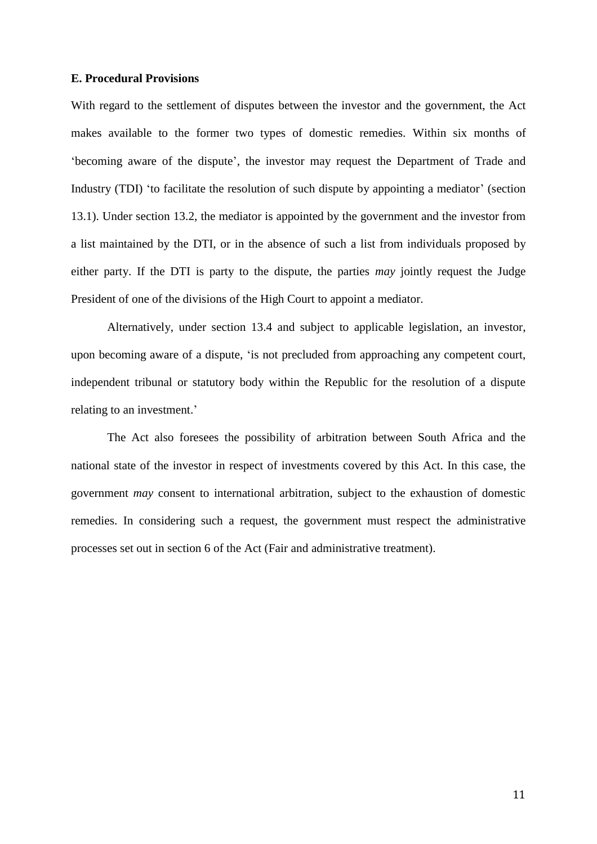## **E. Procedural Provisions**

With regard to the settlement of disputes between the investor and the government, the Act makes available to the former two types of domestic remedies. Within six months of 'becoming aware of the dispute', the investor may request the Department of Trade and Industry (TDI) 'to facilitate the resolution of such dispute by appointing a mediator' (section 13.1). Under section 13.2, the mediator is appointed by the government and the investor from a list maintained by the DTI, or in the absence of such a list from individuals proposed by either party. If the DTI is party to the dispute, the parties *may* jointly request the Judge President of one of the divisions of the High Court to appoint a mediator.

Alternatively, under section 13.4 and subject to applicable legislation, an investor, upon becoming aware of a dispute, 'is not precluded from approaching any competent court, independent tribunal or statutory body within the Republic for the resolution of a dispute relating to an investment.'

The Act also foresees the possibility of arbitration between South Africa and the national state of the investor in respect of investments covered by this Act. In this case, the government *may* consent to international arbitration, subject to the exhaustion of domestic remedies. In considering such a request, the government must respect the administrative processes set out in section 6 of the Act (Fair and administrative treatment).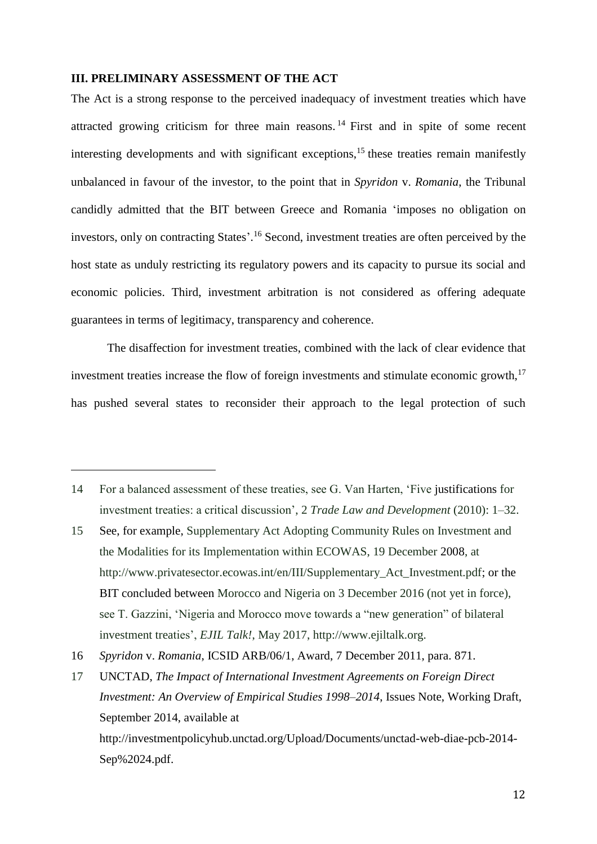## **III. PRELIMINARY ASSESSMENT OF THE ACT**

 $\overline{a}$ 

<span id="page-11-0"></span>The Act is a strong response to the perceived inadequacy of investment treaties which have attracted growing criticism for three main reasons. <sup>14</sup> First and in spite of some recent interesting developments and with significant exceptions, $15$  these treaties remain manifestly unbalanced in favour of the investor, to the point that in *Spyridon* v. *Romania*, the Tribunal candidly admitted that the BIT between Greece and Romania 'imposes no obligation on investors, only on contracting States'. <sup>16</sup> Second, investment treaties are often perceived by the host state as unduly restricting its regulatory powers and its capacity to pursue its social and economic policies. Third, investment arbitration is not considered as offering adequate guarantees in terms of legitimacy, transparency and coherence.

The disaffection for investment treaties, combined with the lack of clear evidence that investment treaties increase the flow of foreign investments and stimulate economic growth, $17$ has pushed several states to reconsider their approach to the legal protection of such

<sup>14</sup> For a balanced assessment of these treaties, see G. Van Harten, 'Five justifications for investment treaties: a critical discussion', 2 *Trade Law and Development* (2010): 1–32.

<sup>15</sup> See, for example, Supplementary Act Adopting Community Rules on Investment and the Modalities for its Implementation within ECOWAS, 19 December 2008, at [http://www.privatesector.ecowas.int/en/III/Supplementary\\_Act\\_Investment.pdf;](http://www.privatesector.ecowas.int/en/III/Supplementary_Act_Investment.pdf) or the BIT concluded between Morocco and Nigeria on 3 December 2016 (not yet in force), see T. Gazzini, 'Nigeria and Morocco move towards a "new generation" of bilateral investment treaties', *EJIL Talk!*, May 2017, http://www.ejiltalk.org.

<sup>16</sup> *Spyridon* v. *Romania*, ICSID ARB/06/1, Award, 7 December 2011, para. 871.

<sup>17</sup> UNCTAD, *The Impact of International Investment Agreements on Foreign Direct Investment: An Overview of Empirical Studies 1998–2014*, Issues Note, Working Draft, September 2014, available at http://investmentpolicyhub.unctad.org/Upload/Documents/unctad-web-diae-pcb-2014- Sep%2024.pdf.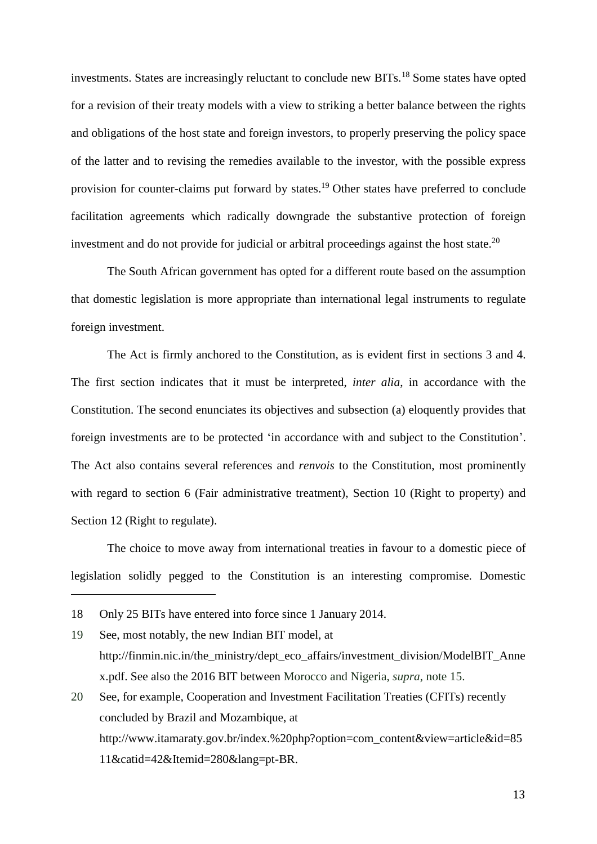investments. States are increasingly reluctant to conclude new BITs.<sup>18</sup> Some states have opted for a revision of their treaty models with a view to striking a better balance between the rights and obligations of the host state and foreign investors, to properly preserving the policy space of the latter and to revising the remedies available to the investor, with the possible express provision for counter-claims put forward by states.<sup>19</sup> Other states have preferred to conclude facilitation agreements which radically downgrade the substantive protection of foreign investment and do not provide for judicial or arbitral proceedings against the host state.<sup>20</sup>

The South African government has opted for a different route based on the assumption that domestic legislation is more appropriate than international legal instruments to regulate foreign investment.

The Act is firmly anchored to the Constitution, as is evident first in sections 3 and 4. The first section indicates that it must be interpreted, *inter alia*, in accordance with the Constitution. The second enunciates its objectives and subsection (a) eloquently provides that foreign investments are to be protected 'in accordance with and subject to the Constitution'. The Act also contains several references and *renvois* to the Constitution, most prominently with regard to section 6 (Fair administrative treatment), Section 10 (Right to property) and Section 12 (Right to regulate).

The choice to move away from international treaties in favour to a domestic piece of legislation solidly pegged to the Constitution is an interesting compromise. Domestic

 $\overline{a}$ 

19 See, most notably, the new Indian BIT model, at http://finmin.nic.in/the\_ministry/dept\_eco\_affairs/investment\_division/ModelBIT\_Anne x.pdf. See also the 2016 BIT between Morocco and Nigeria, *supra*, note [15.](#page-11-0) 20 See, for example, Cooperation and Investment Facilitation Treaties (CFITs) recently

concluded by Brazil and Mozambique, at http:/[/www.itamaraty.gov.br/index.%20php?option=com\\_content&view=article&id=85](http://www.itamaraty.gov.br/index.%20php?option=com_content&view=article&id=8511&catid=42&Itemid=280&lang=pt-BR) [11&catid=42&Itemid=280&lang=pt-BR.](http://www.itamaraty.gov.br/index.%20php?option=com_content&view=article&id=8511&catid=42&Itemid=280&lang=pt-BR)

13

<sup>18</sup> Only 25 BITs have entered into force since 1 January 2014.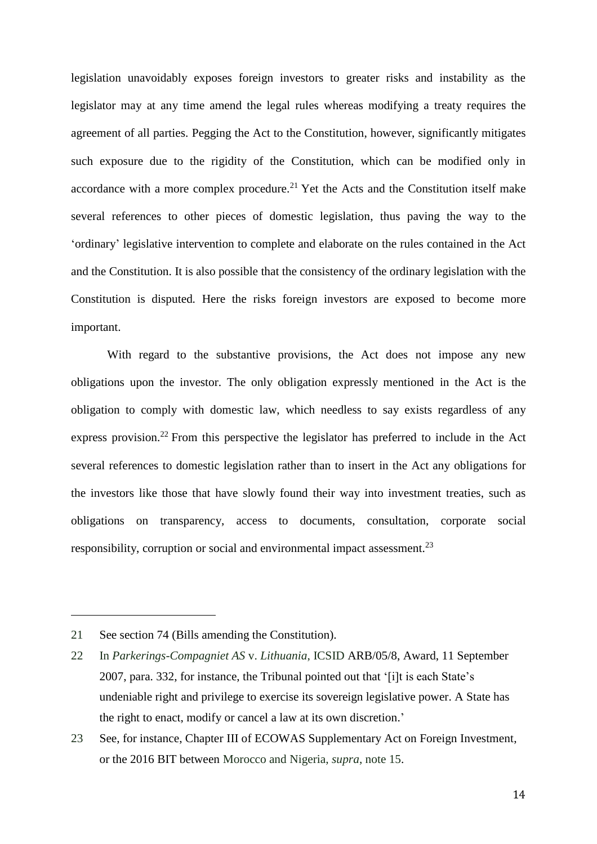legislation unavoidably exposes foreign investors to greater risks and instability as the legislator may at any time amend the legal rules whereas modifying a treaty requires the agreement of all parties. Pegging the Act to the Constitution, however, significantly mitigates such exposure due to the rigidity of the Constitution, which can be modified only in accordance with a more complex procedure.<sup>21</sup> Yet the Acts and the Constitution itself make several references to other pieces of domestic legislation, thus paving the way to the 'ordinary' legislative intervention to complete and elaborate on the rules contained in the Act and the Constitution. It is also possible that the consistency of the ordinary legislation with the Constitution is disputed. Here the risks foreign investors are exposed to become more important.

With regard to the substantive provisions, the Act does not impose any new obligations upon the investor. The only obligation expressly mentioned in the Act is the obligation to comply with domestic law, which needless to say exists regardless of any express provision.<sup>22</sup> From this perspective the legislator has preferred to include in the Act several references to domestic legislation rather than to insert in the Act any obligations for the investors like those that have slowly found their way into investment treaties, such as obligations on transparency, access to documents, consultation, corporate social responsibility, corruption or social and environmental impact assessment.<sup>23</sup>

<sup>21</sup> See section 74 (Bills amending the Constitution).

<sup>22</sup> In *Parkerings-Compagniet AS* v. *Lithuania*, ICSID ARB/05/8, Award, 11 September 2007, para. 332, for instance, the Tribunal pointed out that '[i]t is each State's undeniable right and privilege to exercise its sovereign legislative power. A State has the right to enact, modify or cancel a law at its own discretion.'

<sup>23</sup> See, for instance, Chapter III of ECOWAS Supplementary Act on Foreign Investment, or the 2016 BIT between Morocco and Nigeria, *supra*, note [15.](#page-11-0)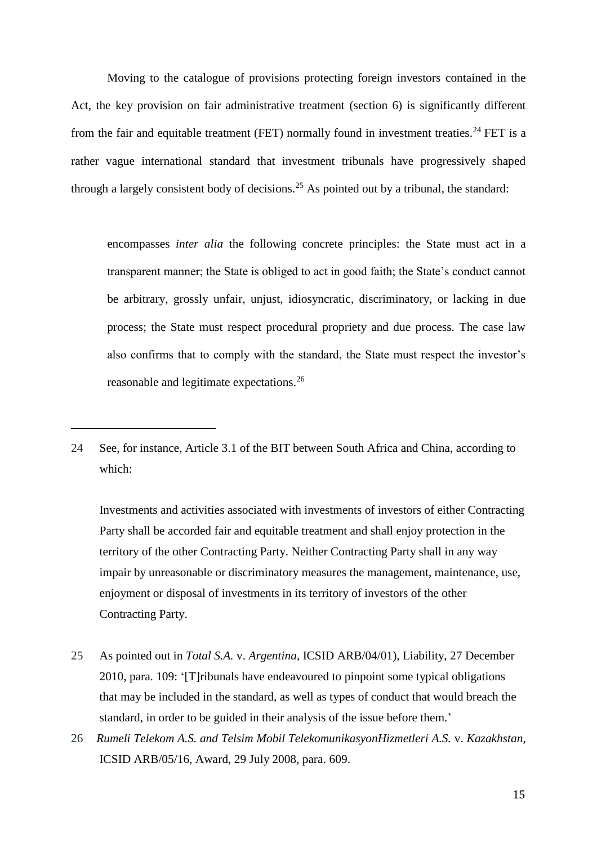Moving to the catalogue of provisions protecting foreign investors contained in the Act, the key provision on fair administrative treatment (section 6) is significantly different from the fair and equitable treatment (FET) normally found in investment treaties.<sup>24</sup> FET is a rather vague international standard that investment tribunals have progressively shaped through a largely consistent body of decisions.<sup>25</sup> As pointed out by a tribunal, the standard:

encompasses *inter alia* the following concrete principles: the State must act in a transparent manner; the State is obliged to act in good faith; the State's conduct cannot be arbitrary, grossly unfair, unjust, idiosyncratic, discriminatory, or lacking in due process; the State must respect procedural propriety and due process. The case law also confirms that to comply with the standard, the State must respect the investor's reasonable and legitimate expectations.<sup>26</sup>

 $\overline{a}$ 

Investments and activities associated with investments of investors of either Contracting Party shall be accorded fair and equitable treatment and shall enjoy protection in the territory of the other Contracting Party. Neither Contracting Party shall in any way impair by unreasonable or discriminatory measures the management, maintenance, use, enjoyment or disposal of investments in its territory of investors of the other Contracting Party.

- 25 As pointed out in *Total S.A.* v. *Argentina*, ICSID ARB/04/01), Liability, 27 December 2010, para. 109: '[T]ribunals have endeavoured to pinpoint some typical obligations that may be included in the standard, as well as types of conduct that would breach the standard, in order to be guided in their analysis of the issue before them.'
- 26 *Rumeli Telekom A.S. and Telsim Mobil TelekomunikasyonHizmetleri A.S.* v. *Kazakhstan*, ICSID ARB/05/16, Award, 29 July 2008, para. 609.

<sup>24</sup> See, for instance, Article 3.1 of the BIT between South Africa and China, according to which: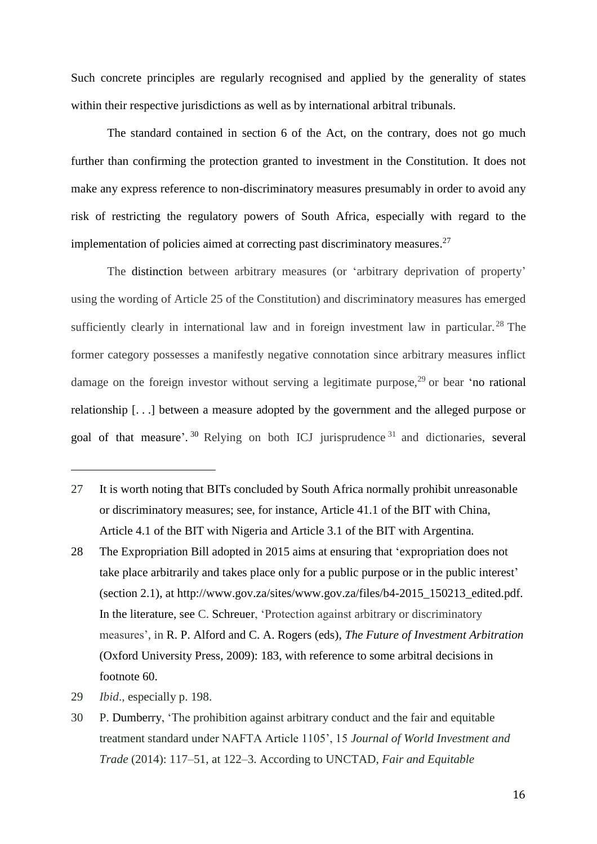Such concrete principles are regularly recognised and applied by the generality of states within their respective jurisdictions as well as by international arbitral tribunals.

The standard contained in section 6 of the Act, on the contrary, does not go much further than confirming the protection granted to investment in the Constitution. It does not make any express reference to non-discriminatory measures presumably in order to avoid any risk of restricting the regulatory powers of South Africa, especially with regard to the implementation of policies aimed at correcting past discriminatory measures.<sup>27</sup>

The distinction between arbitrary measures (or 'arbitrary deprivation of property' using the wording of Article 25 of the Constitution) and discriminatory measures has emerged sufficiently clearly in international law and in foreign investment law in particular.<sup>28</sup> The former category possesses a manifestly negative connotation since arbitrary measures inflict damage on the foreign investor without serving a legitimate purpose,<sup>29</sup> or bear 'no rational relationship [. . .] between a measure adopted by the government and the alleged purpose or goal of that measure'.<sup>30</sup> Relying on both ICJ jurisprudence<sup>31</sup> and dictionaries, several

- 27 It is worth noting that BITs concluded by South Africa normally prohibit unreasonable or discriminatory measures; see, for instance, Article 41.1 of the BIT with China, Article 4.1 of the BIT with Nigeria and Article 3.1 of the BIT with Argentina.
- 28 The Expropriation Bill adopted in 2015 aims at ensuring that 'expropriation does not take place arbitrarily and takes place only for a public purpose or in the public interest' (section 2.1), at http://www.gov.za/sites/www.gov.za/files/b4-2015\_150213\_edited.pdf. In the literature, see C. Schreuer, 'Protection against arbitrary or discriminatory measures', in R. P. Alford and C. A. Rogers (eds), *The Future of Investment Arbitration* (Oxford University Press, 2009): 183, with reference to some arbitral decisions in footnote 60.
- 29 *Ibid*., especially p. 198.

 $\overline{a}$ 

30 P. Dumberry, 'The prohibition against arbitrary conduct and the fair and equitable treatment standard under NAFTA Article 1105', 15 *Journal of World Investment and Trade* (2014): 117–51, at 122–3. According to UNCTAD, *Fair and Equitable*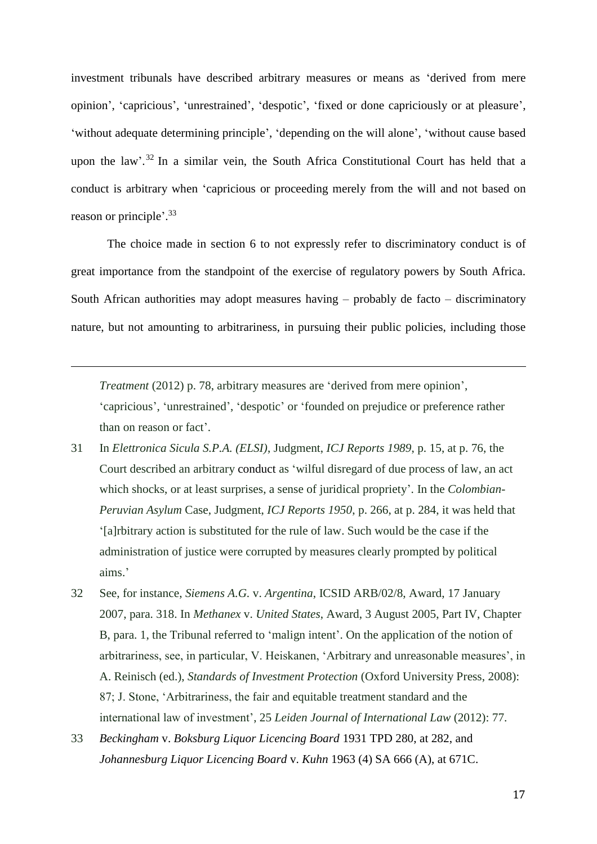investment tribunals have described arbitrary measures or means as 'derived from mere opinion', 'capricious', 'unrestrained', 'despotic', 'fixed or done capriciously or at pleasure', 'without adequate determining principle', 'depending on the will alone', 'without cause based upon the law'.<sup>32</sup> In a similar vein, the South Africa Constitutional Court has held that a conduct is arbitrary when 'capricious or proceeding merely from the will and not based on reason or principle'. 33

The choice made in section 6 to not expressly refer to discriminatory conduct is of great importance from the standpoint of the exercise of regulatory powers by South Africa. South African authorities may adopt measures having – probably de facto – discriminatory nature, but not amounting to arbitrariness, in pursuing their public policies, including those

*Treatment* (2012) p. 78, arbitrary measures are 'derived from mere opinion', 'capricious', 'unrestrained', 'despotic' or 'founded on prejudice or preference rather than on reason or fact'.

- 31 In *Elettronica Sicula S.P.A. (ELSI)*, Judgment, *ICJ Reports 1989*, p. 15, at p. 76, the Court described an arbitrary conduct as 'wilful disregard of due process of law, an act which shocks, or at least surprises, a sense of juridical propriety'. In the *Colombian-Peruvian Asylum* Case, Judgment, *ICJ Reports 1950*, p. 266, at p. 284, it was held that '[a]rbitrary action is substituted for the rule of law. Such would be the case if the administration of justice were corrupted by measures clearly prompted by political aims.'
- 32 See, for instance, *Siemens A.G.* v. *Argentina*, ICSID ARB/02/8, Award, 17 January 2007, para. 318. In *Methanex* v. *United States*, Award, 3 August 2005, Part IV, Chapter B, para. 1, the Tribunal referred to 'malign intent'. On the application of the notion of arbitrariness, see, in particular, V. Heiskanen, 'Arbitrary and unreasonable measures', in A. Reinisch (ed.), *Standards of Investment Protection* (Oxford University Press, 2008): 87; J. Stone, 'Arbitrariness, the fair and equitable treatment standard and the international law of investment', 25 *Leiden Journal of International Law* (2012): 77.
- 33 *Beckingham* v. *Boksburg Liquor Licencing Board* 1931 TPD 280, at 282, and *Johannesburg Liquor Licencing Board* v. *Kuhn* 1963 (4) SA 666 (A), at 671C.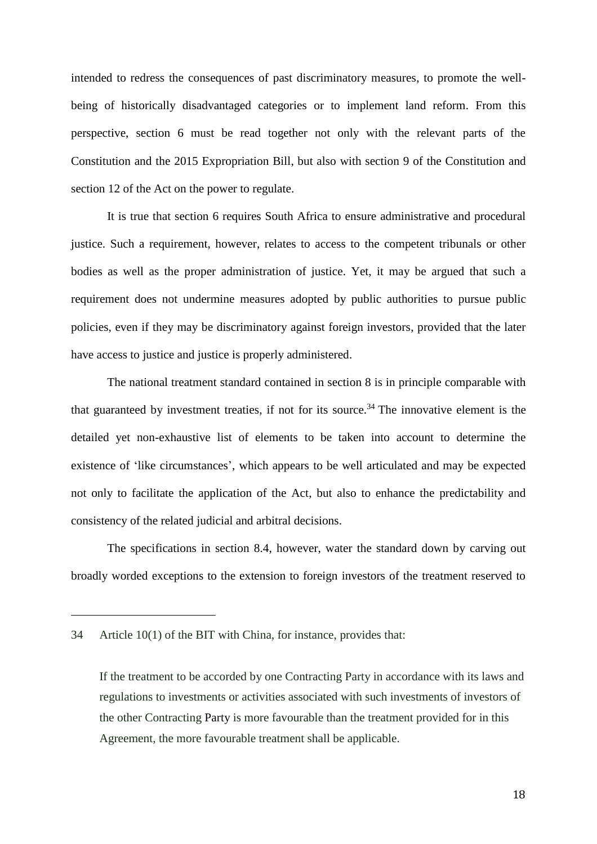intended to redress the consequences of past discriminatory measures, to promote the wellbeing of historically disadvantaged categories or to implement land reform. From this perspective, section 6 must be read together not only with the relevant parts of the Constitution and the 2015 Expropriation Bill, but also with section 9 of the Constitution and section 12 of the Act on the power to regulate.

It is true that section 6 requires South Africa to ensure administrative and procedural justice. Such a requirement, however, relates to access to the competent tribunals or other bodies as well as the proper administration of justice. Yet, it may be argued that such a requirement does not undermine measures adopted by public authorities to pursue public policies, even if they may be discriminatory against foreign investors, provided that the later have access to justice and justice is properly administered.

The national treatment standard contained in section 8 is in principle comparable with that guaranteed by investment treaties, if not for its source.<sup>34</sup> The innovative element is the detailed yet non-exhaustive list of elements to be taken into account to determine the existence of 'like circumstances', which appears to be well articulated and may be expected not only to facilitate the application of the Act, but also to enhance the predictability and consistency of the related judicial and arbitral decisions.

The specifications in section 8.4, however, water the standard down by carving out broadly worded exceptions to the extension to foreign investors of the treatment reserved to

<sup>34</sup> Article 10(1) of the BIT with China, for instance, provides that:

If the treatment to be accorded by one Contracting Party in accordance with its laws and regulations to investments or activities associated with such investments of investors of the other Contracting Party is more favourable than the treatment provided for in this Agreement, the more favourable treatment shall be applicable.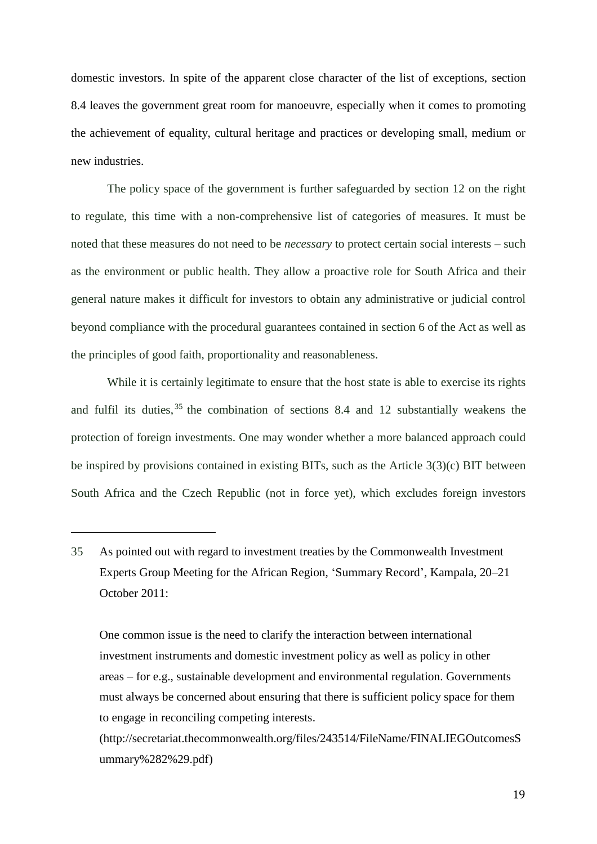domestic investors. In spite of the apparent close character of the list of exceptions, section 8.4 leaves the government great room for manoeuvre, especially when it comes to promoting the achievement of equality, cultural heritage and practices or developing small, medium or new industries.

The policy space of the government is further safeguarded by section 12 on the right to regulate, this time with a non-comprehensive list of categories of measures. It must be noted that these measures do not need to be *necessary* to protect certain social interests – such as the environment or public health. They allow a proactive role for South Africa and their general nature makes it difficult for investors to obtain any administrative or judicial control beyond compliance with the procedural guarantees contained in section 6 of the Act as well as the principles of good faith, proportionality and reasonableness.

While it is certainly legitimate to ensure that the host state is able to exercise its rights and fulfil its duties,  $35$  the combination of sections 8.4 and 12 substantially weakens the protection of foreign investments. One may wonder whether a more balanced approach could be inspired by provisions contained in existing BITs, such as the Article 3(3)(c) BIT between South Africa and the Czech Republic (not in force yet), which excludes foreign investors

<sup>35</sup> As pointed out with regard to investment treaties by the Commonwealth Investment Experts Group Meeting for the African Region, 'Summary Record', Kampala, 20–21 October 2011:

One common issue is the need to clarify the interaction between international investment instruments and domestic investment policy as well as policy in other areas – for e.g., sustainable development and environmental regulation. Governments must always be concerned about ensuring that there is sufficient policy space for them to engage in reconciling competing interests.

[<sup>\(</sup>http://secretariat.thecommonwealth.org/files/243514/FileName/FINALIEGOutcomesS](http://secretariat.thecommonwealth.org/files/243514/FileName/FINALIEGOutcomesSummary%282%29.pdf) [ummary%282%29.pdf\)](http://secretariat.thecommonwealth.org/files/243514/FileName/FINALIEGOutcomesSummary%282%29.pdf)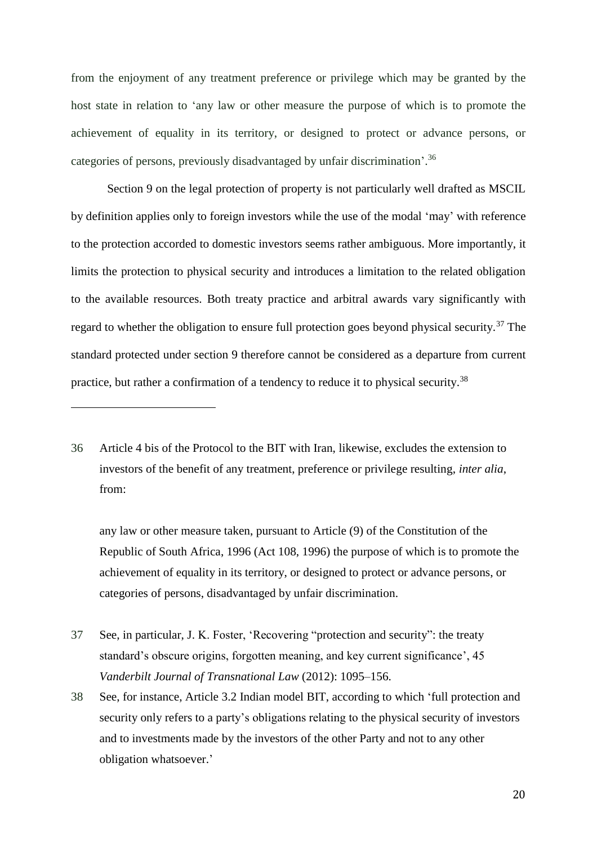from the enjoyment of any treatment preference or privilege which may be granted by the host state in relation to 'any law or other measure the purpose of which is to promote the achievement of equality in its territory, or designed to protect or advance persons, or categories of persons, previously disadvantaged by unfair discrimination'. 36

<span id="page-19-0"></span>Section 9 on the legal protection of property is not particularly well drafted as MSCIL by definition applies only to foreign investors while the use of the modal 'may' with reference to the protection accorded to domestic investors seems rather ambiguous. More importantly, it limits the protection to physical security and introduces a limitation to the related obligation to the available resources. Both treaty practice and arbitral awards vary significantly with regard to whether the obligation to ensure full protection goes beyond physical security.<sup>37</sup> The standard protected under section 9 therefore cannot be considered as a departure from current practice, but rather a confirmation of a tendency to reduce it to physical security.<sup>38</sup>

 $\overline{a}$ 

any law or other measure taken, pursuant to Article (9) of the Constitution of the Republic of South Africa, 1996 (Act 108, 1996) the purpose of which is to promote the achievement of equality in its territory, or designed to protect or advance persons, or categories of persons, disadvantaged by unfair discrimination.

- 37 See, in particular, J. K. Foster, 'Recovering "protection and security": the treaty standard's obscure origins, forgotten meaning, and key current significance', 45 *Vanderbilt Journal of Transnational Law* (2012): 1095–156.
- 38 See, for instance, Article 3.2 Indian model BIT, according to which 'full protection and security only refers to a party's obligations relating to the physical security of investors and to investments made by the investors of the other Party and not to any other obligation whatsoever.'

<sup>36</sup> Article 4 bis of the Protocol to the BIT with Iran, likewise, excludes the extension to investors of the benefit of any treatment, preference or privilege resulting, *inter alia*, from: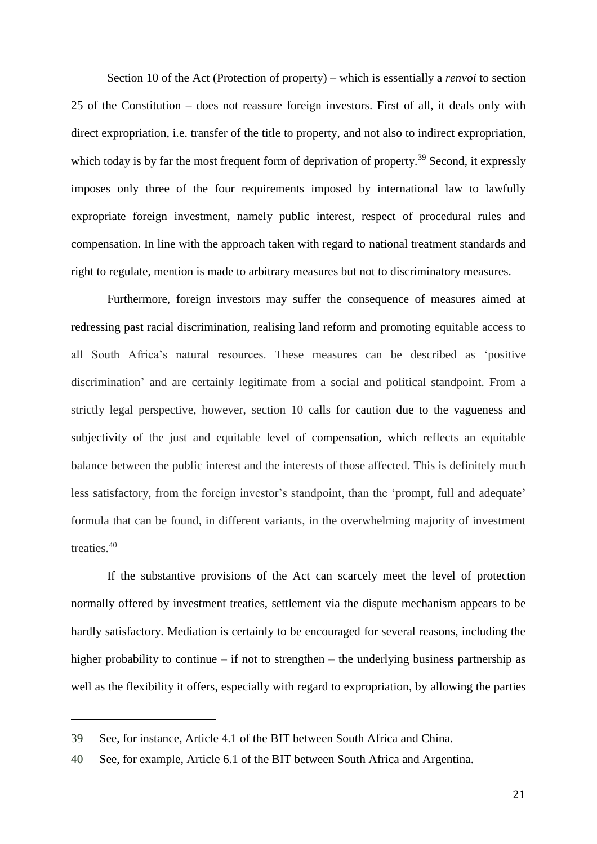Section 10 of the Act (Protection of property) – which is essentially a *renvoi* to section 25 of the Constitution – does not reassure foreign investors. First of all, it deals only with direct expropriation, i.e. transfer of the title to property, and not also to indirect expropriation, which today is by far the most frequent form of deprivation of property.<sup>39</sup> Second, it expressly imposes only three of the four requirements imposed by international law to lawfully expropriate foreign investment, namely public interest, respect of procedural rules and compensation. In line with the approach taken with regard to national treatment standards and right to regulate, mention is made to arbitrary measures but not to discriminatory measures.

Furthermore, foreign investors may suffer the consequence of measures aimed at redressing past racial discrimination, realising land reform and promoting equitable access to all South Africa's natural resources. These measures can be described as 'positive discrimination' and are certainly legitimate from a social and political standpoint. From a strictly legal perspective, however, section 10 calls for caution due to the vagueness and subjectivity of the just and equitable level of compensation, which reflects an equitable balance between the public interest and the interests of those affected. This is definitely much less satisfactory, from the foreign investor's standpoint, than the 'prompt, full and adequate' formula that can be found, in different variants, in the overwhelming majority of investment treaties.<sup>40</sup>

If the substantive provisions of the Act can scarcely meet the level of protection normally offered by investment treaties, settlement via the dispute mechanism appears to be hardly satisfactory. Mediation is certainly to be encouraged for several reasons, including the higher probability to continue – if not to strengthen – the underlying business partnership as well as the flexibility it offers, especially with regard to expropriation, by allowing the parties

<sup>39</sup> See, for instance, Article 4.1 of the BIT between South Africa and China.

<sup>40</sup> See, for example, Article 6.1 of the BIT between South Africa and Argentina.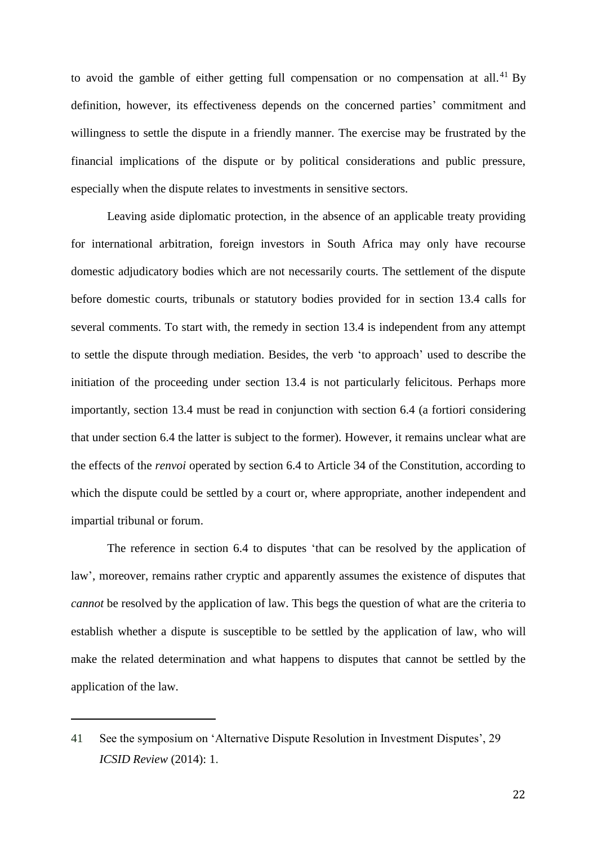to avoid the gamble of either getting full compensation or no compensation at all. $^{41}$  By definition, however, its effectiveness depends on the concerned parties' commitment and willingness to settle the dispute in a friendly manner. The exercise may be frustrated by the financial implications of the dispute or by political considerations and public pressure, especially when the dispute relates to investments in sensitive sectors.

Leaving aside diplomatic protection, in the absence of an applicable treaty providing for international arbitration, foreign investors in South Africa may only have recourse domestic adjudicatory bodies which are not necessarily courts. The settlement of the dispute before domestic courts, tribunals or statutory bodies provided for in section 13.4 calls for several comments. To start with, the remedy in section 13.4 is independent from any attempt to settle the dispute through mediation. Besides, the verb 'to approach' used to describe the initiation of the proceeding under section 13.4 is not particularly felicitous. Perhaps more importantly, section 13.4 must be read in conjunction with section 6.4 (a fortiori considering that under section 6.4 the latter is subject to the former). However, it remains unclear what are the effects of the *renvoi* operated by section 6.4 to Article 34 of the Constitution, according to which the dispute could be settled by a court or, where appropriate, another independent and impartial tribunal or forum.

The reference in section 6.4 to disputes 'that can be resolved by the application of law', moreover, remains rather cryptic and apparently assumes the existence of disputes that *cannot* be resolved by the application of law. This begs the question of what are the criteria to establish whether a dispute is susceptible to be settled by the application of law, who will make the related determination and what happens to disputes that cannot be settled by the application of the law.

<sup>41</sup> See the symposium on 'Alternative Dispute Resolution in Investment Disputes', 29 *ICSID Review* (2014): 1.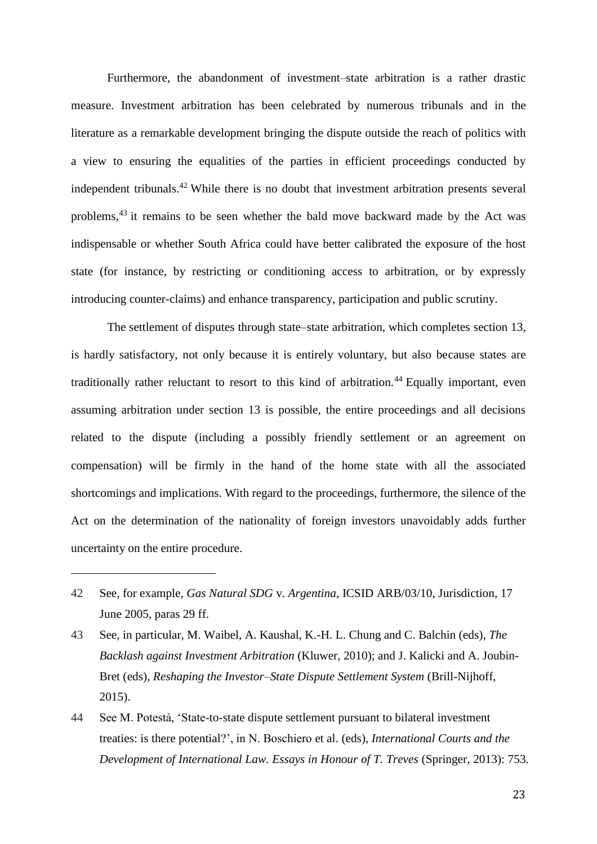<span id="page-22-0"></span>Furthermore, the abandonment of investment–state arbitration is a rather drastic measure. Investment arbitration has been celebrated by numerous tribunals and in the literature as a remarkable development bringing the dispute outside the reach of politics with a view to ensuring the equalities of the parties in efficient proceedings conducted by independent tribunals.<sup>42</sup> While there is no doubt that investment arbitration presents several problems,<sup>43</sup> it remains to be seen whether the bald move backward made by the Act was indispensable or whether South Africa could have better calibrated the exposure of the host state (for instance, by restricting or conditioning access to arbitration, or by expressly introducing counter-claims) and enhance transparency, participation and public scrutiny.

The settlement of disputes through state–state arbitration, which completes section 13, is hardly satisfactory, not only because it is entirely voluntary, but also because states are traditionally rather reluctant to resort to this kind of arbitration.<sup>44</sup> Equally important, even assuming arbitration under section 13 is possible, the entire proceedings and all decisions related to the dispute (including a possibly friendly settlement or an agreement on compensation) will be firmly in the hand of the home state with all the associated shortcomings and implications. With regard to the proceedings, furthermore, the silence of the Act on the determination of the nationality of foreign investors unavoidably adds further uncertainty on the entire procedure.

42 See, for example, *Gas Natural SDG* v. *Argentina*, ICSID ARB/03/10, Jurisdiction, 17 June 2005, paras 29 ff.

 $\overline{a}$ 

43 See, in particular, M. Waibel, A. Kaushal, K.-H. L. Chung and C. Balchin (eds), *The Backlash against Investment Arbitration* (Kluwer, 2010); and J. Kalicki and A. Joubin-Bret (eds), *Reshaping the Investor–State Dispute Settlement System* (Brill-Nijhoff, 2015).

44 See M. Potestà, 'State-to-state dispute settlement pursuant to bilateral investment treaties: is there potential?', in N. Boschiero et al. (eds), *International Courts and the Development of International Law. Essays in Honour of T. Treves* (Springer, 2013): 753.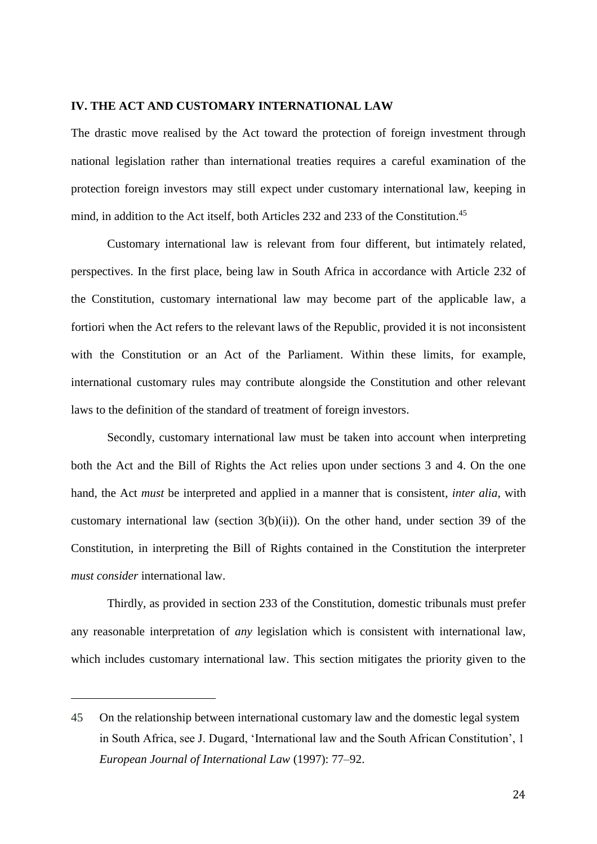# **IV. THE ACT AND CUSTOMARY INTERNATIONAL LAW**

The drastic move realised by the Act toward the protection of foreign investment through national legislation rather than international treaties requires a careful examination of the protection foreign investors may still expect under customary international law, keeping in mind, in addition to the Act itself, both Articles 232 and 233 of the Constitution. 45

Customary international law is relevant from four different, but intimately related, perspectives. In the first place, being law in South Africa in accordance with Article 232 of the Constitution, customary international law may become part of the applicable law, a fortiori when the Act refers to the relevant laws of the Republic, provided it is not inconsistent with the Constitution or an Act of the Parliament. Within these limits, for example, international customary rules may contribute alongside the Constitution and other relevant laws to the definition of the standard of treatment of foreign investors.

Secondly, customary international law must be taken into account when interpreting both the Act and the Bill of Rights the Act relies upon under sections 3 and 4. On the one hand, the Act *must* be interpreted and applied in a manner that is consistent, *inter alia*, with customary international law (section  $3(b)(ii)$ ). On the other hand, under section 39 of the Constitution, in interpreting the Bill of Rights contained in the Constitution the interpreter *must consider* international law.

Thirdly, as provided in section 233 of the Constitution, domestic tribunals must prefer any reasonable interpretation of *any* legislation which is consistent with international law, which includes customary international law. This section mitigates the priority given to the

<sup>45</sup> On the relationship between international customary law and the domestic legal system in South Africa, see J. Dugard, 'International law and the South African Constitution', 1 *European Journal of International Law* (1997): 77–92.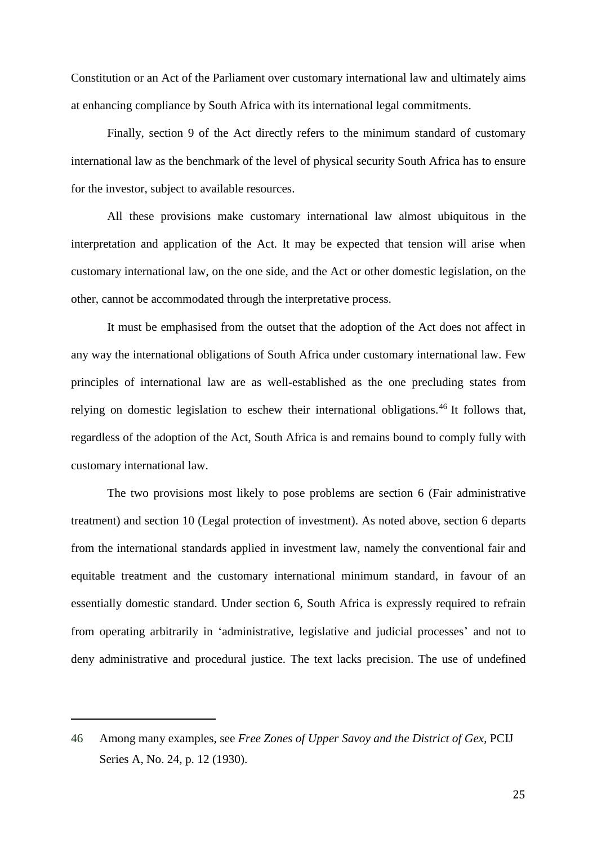Constitution or an Act of the Parliament over customary international law and ultimately aims at enhancing compliance by South Africa with its international legal commitments.

Finally, section 9 of the Act directly refers to the minimum standard of customary international law as the benchmark of the level of physical security South Africa has to ensure for the investor, subject to available resources.

All these provisions make customary international law almost ubiquitous in the interpretation and application of the Act. It may be expected that tension will arise when customary international law, on the one side, and the Act or other domestic legislation, on the other, cannot be accommodated through the interpretative process.

It must be emphasised from the outset that the adoption of the Act does not affect in any way the international obligations of South Africa under customary international law. Few principles of international law are as well-established as the one precluding states from relying on domestic legislation to eschew their international obligations.<sup>46</sup> It follows that, regardless of the adoption of the Act, South Africa is and remains bound to comply fully with customary international law.

The two provisions most likely to pose problems are section 6 (Fair administrative treatment) and section 10 (Legal protection of investment). As noted above, section 6 departs from the international standards applied in investment law, namely the conventional fair and equitable treatment and the customary international minimum standard, in favour of an essentially domestic standard. Under section 6, South Africa is expressly required to refrain from operating arbitrarily in 'administrative, legislative and judicial processes' and not to deny administrative and procedural justice. The text lacks precision. The use of undefined

<sup>46</sup> Among many examples, see *Free Zones of Upper Savoy and the District of Gex*, PCIJ Series A, No. 24, p. 12 (1930).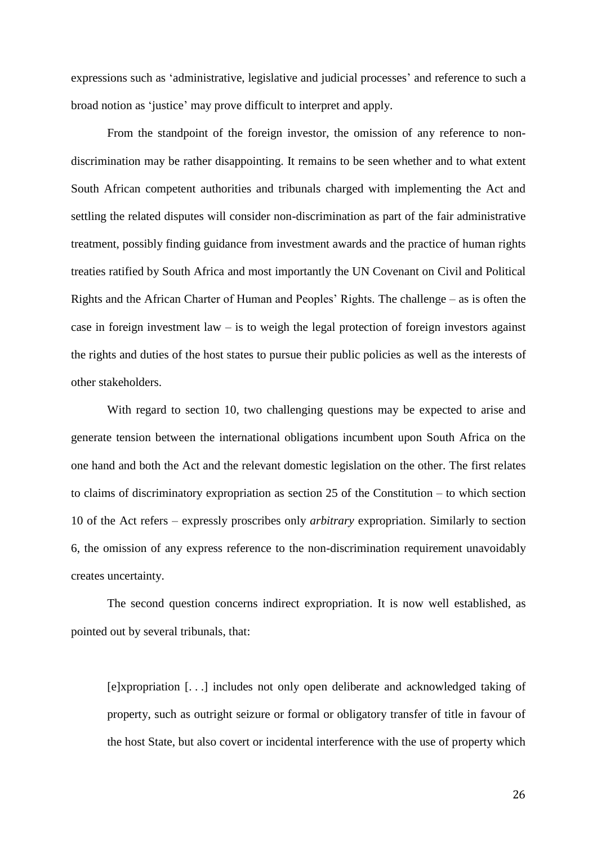expressions such as 'administrative, legislative and judicial processes' and reference to such a broad notion as 'justice' may prove difficult to interpret and apply.

From the standpoint of the foreign investor, the omission of any reference to nondiscrimination may be rather disappointing. It remains to be seen whether and to what extent South African competent authorities and tribunals charged with implementing the Act and settling the related disputes will consider non-discrimination as part of the fair administrative treatment, possibly finding guidance from investment awards and the practice of human rights treaties ratified by South Africa and most importantly the UN Covenant on Civil and Political Rights and the African Charter of Human and Peoples' Rights. The challenge – as is often the case in foreign investment law – is to weigh the legal protection of foreign investors against the rights and duties of the host states to pursue their public policies as well as the interests of other stakeholders.

With regard to section 10, two challenging questions may be expected to arise and generate tension between the international obligations incumbent upon South Africa on the one hand and both the Act and the relevant domestic legislation on the other. The first relates to claims of discriminatory expropriation as section 25 of the Constitution – to which section 10 of the Act refers – expressly proscribes only *arbitrary* expropriation. Similarly to section 6, the omission of any express reference to the non-discrimination requirement unavoidably creates uncertainty.

The second question concerns indirect expropriation. It is now well established, as pointed out by several tribunals, that:

[e]xpropriation [. . .] includes not only open deliberate and acknowledged taking of property, such as outright seizure or formal or obligatory transfer of title in favour of the host State, but also covert or incidental interference with the use of property which

26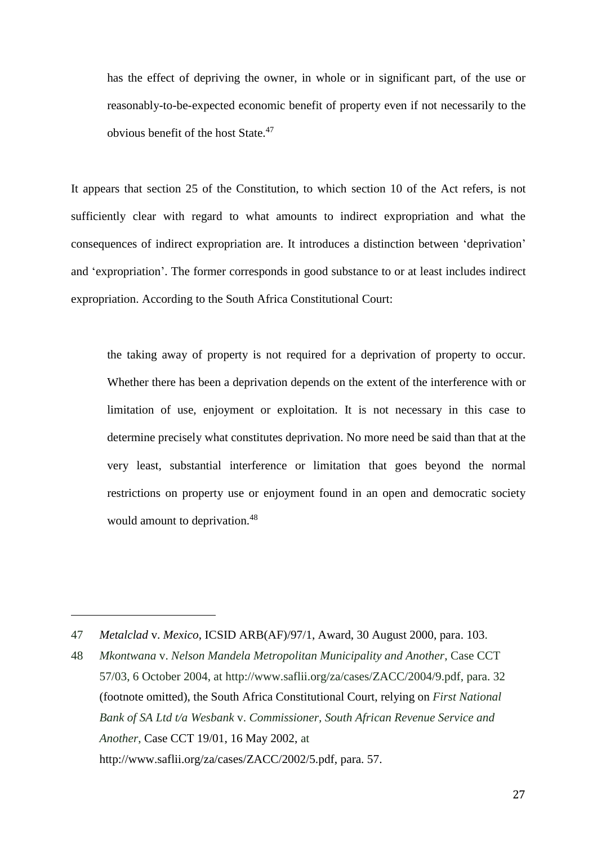has the effect of depriving the owner, in whole or in significant part, of the use or reasonably-to-be-expected economic benefit of property even if not necessarily to the obvious benefit of the host State.<sup>47</sup>

It appears that section 25 of the Constitution, to which section 10 of the Act refers, is not sufficiently clear with regard to what amounts to indirect expropriation and what the consequences of indirect expropriation are. It introduces a distinction between 'deprivation' and 'expropriation'. The former corresponds in good substance to or at least includes indirect expropriation. According to the South Africa Constitutional Court:

the taking away of property is not required for a deprivation of property to occur. Whether there has been a deprivation depends on the extent of the interference with or limitation of use, enjoyment or exploitation. It is not necessary in this case to determine precisely what constitutes deprivation. No more need be said than that at the very least, substantial interference or limitation that goes beyond the normal restrictions on property use or enjoyment found in an open and democratic society would amount to deprivation.<sup>48</sup>

<sup>47</sup> *Metalclad* v. *Mexico*, ICSID ARB(AF)/97/1, Award, 30 August 2000, para. 103.

<sup>48</sup> *Mkontwana* v. *Nelson Mandela Metropolitan Municipality and Another*, Case CCT 57/03, 6 October 2004, at [http://www.saflii.org/za/cases/ZACC/2004/9.pdf,](http://www.saflii.org/za/cases/ZACC/2004/9.pdf) para. 32 (footnote omitted), the South Africa Constitutional Court, relying on *First National Bank of SA Ltd t/a Wesbank* v. *Commissioner, South African Revenue Service and Another*, Case CCT 19/01, 16 May 2002, at [http://www.saflii.org/za/cases/ZACC/2002/5.pdf,](http://www.saflii.org/za/cases/ZACC/2002/5.pdf) para. 57.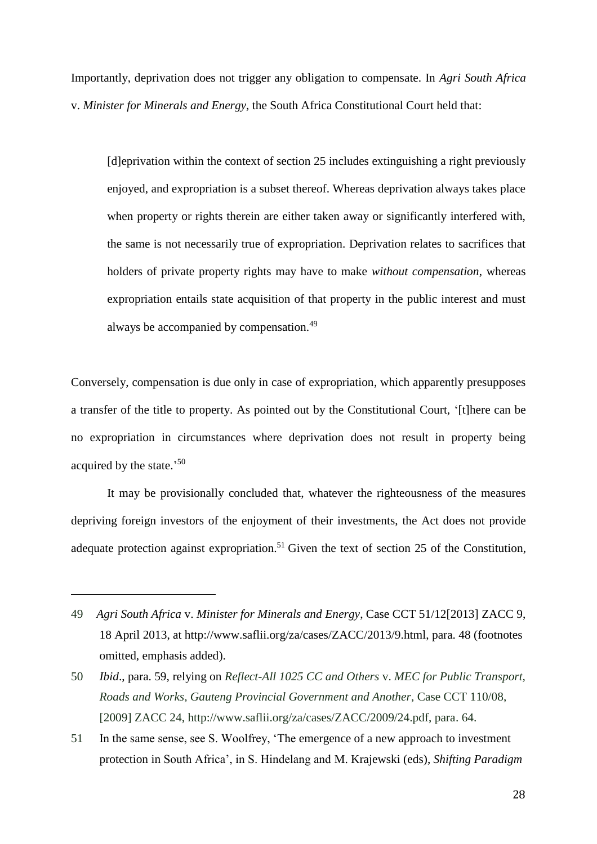Importantly, deprivation does not trigger any obligation to compensate. In *Agri South Africa* v. *Minister for Minerals and Energy*, the South Africa Constitutional Court held that:

[d]eprivation within the context of section 25 includes extinguishing a right previously enjoyed, and expropriation is a subset thereof. Whereas deprivation always takes place when property or rights therein are either taken away or significantly interfered with, the same is not necessarily true of expropriation. Deprivation relates to sacrifices that holders of private property rights may have to make *without compensation*, whereas expropriation entails state acquisition of that property in the public interest and must always be accompanied by compensation.<sup>49</sup>

Conversely, compensation is due only in case of expropriation, which apparently presupposes a transfer of the title to property. As pointed out by the Constitutional Court, '[t]here can be no expropriation in circumstances where deprivation does not result in property being acquired by the state.' 50

It may be provisionally concluded that, whatever the righteousness of the measures depriving foreign investors of the enjoyment of their investments, the Act does not provide adequate protection against expropriation.<sup>51</sup> Given the text of section 25 of the Constitution,

<sup>49</sup> *Agri South Africa* v. *Minister for Minerals and Energy*, Case CCT 51/12[2013] ZACC 9, 18 April 2013, at [http://www.saflii.org/za/cases/ZACC/2013/9.html,](http://www.saflii.org/za/cases/ZACC/2013/9.html) para. 48 (footnotes omitted, emphasis added).

<sup>50</sup> *Ibid*., para. 59, relying on *Reflect-All 1025 CC and Others* v. *MEC for Public Transport, Roads and Works, Gauteng Provincial Government and Another*, Case CCT 110/08, [2009] ZACC 24, http://www.saflii.org/za/cases/ZACC/2009/24.pdf, para. 64.

<sup>51</sup> In the same sense, see S. Woolfrey, 'The emergence of a new approach to investment protection in South Africa', in S. Hindelang and M. Krajewski (eds), *Shifting Paradigm*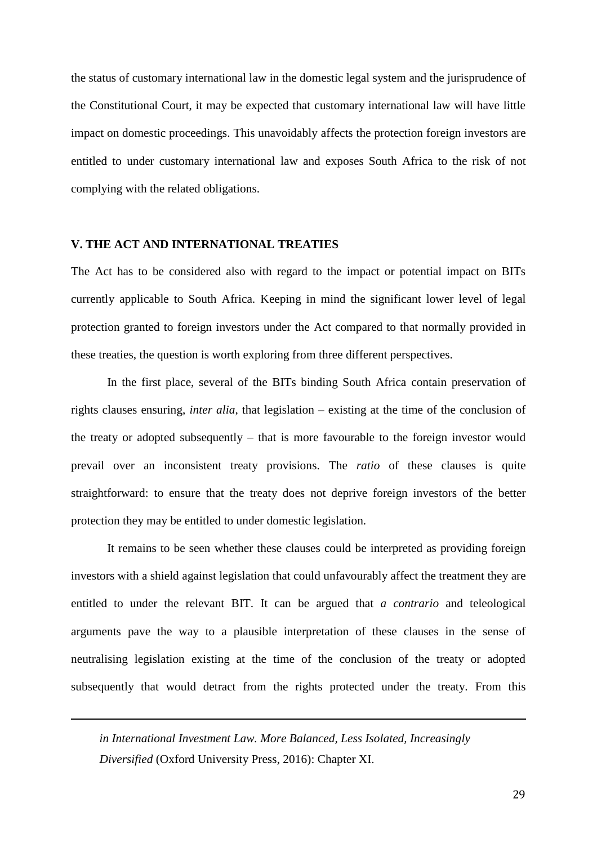the status of customary international law in the domestic legal system and the jurisprudence of the Constitutional Court, it may be expected that customary international law will have little impact on domestic proceedings. This unavoidably affects the protection foreign investors are entitled to under customary international law and exposes South Africa to the risk of not complying with the related obligations.

#### **V. THE ACT AND INTERNATIONAL TREATIES**

The Act has to be considered also with regard to the impact or potential impact on BITs currently applicable to South Africa. Keeping in mind the significant lower level of legal protection granted to foreign investors under the Act compared to that normally provided in these treaties, the question is worth exploring from three different perspectives.

In the first place, several of the BITs binding South Africa contain preservation of rights clauses ensuring, *inter alia*, that legislation – existing at the time of the conclusion of the treaty or adopted subsequently – that is more favourable to the foreign investor would prevail over an inconsistent treaty provisions. The *ratio* of these clauses is quite straightforward: to ensure that the treaty does not deprive foreign investors of the better protection they may be entitled to under domestic legislation.

It remains to be seen whether these clauses could be interpreted as providing foreign investors with a shield against legislation that could unfavourably affect the treatment they are entitled to under the relevant BIT. It can be argued that *a contrario* and teleological arguments pave the way to a plausible interpretation of these clauses in the sense of neutralising legislation existing at the time of the conclusion of the treaty or adopted subsequently that would detract from the rights protected under the treaty. From this

*in International Investment Law. More Balanced, Less Isolated, Increasingly Diversified* (Oxford University Press, 2016): Chapter XI.

<u>.</u>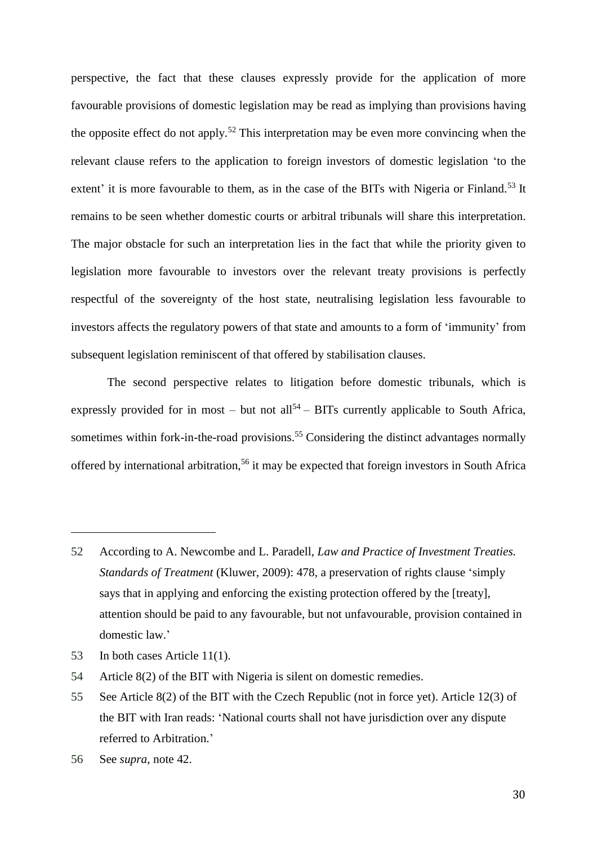perspective, the fact that these clauses expressly provide for the application of more favourable provisions of domestic legislation may be read as implying than provisions having the opposite effect do not apply.<sup>52</sup> This interpretation may be even more convincing when the relevant clause refers to the application to foreign investors of domestic legislation 'to the extent' it is more favourable to them, as in the case of the BITs with Nigeria or Finland.<sup>53</sup> It remains to be seen whether domestic courts or arbitral tribunals will share this interpretation. The major obstacle for such an interpretation lies in the fact that while the priority given to legislation more favourable to investors over the relevant treaty provisions is perfectly respectful of the sovereignty of the host state, neutralising legislation less favourable to investors affects the regulatory powers of that state and amounts to a form of 'immunity' from subsequent legislation reminiscent of that offered by stabilisation clauses.

The second perspective relates to litigation before domestic tribunals, which is expressly provided for in most – but not all<sup>54</sup> – BITs currently applicable to South Africa, sometimes within fork-in-the-road provisions.<sup>55</sup> Considering the distinct advantages normally offered by international arbitration,<sup>56</sup> it may be expected that foreign investors in South Africa

<sup>52</sup> According to A. Newcombe and L. Paradell, *Law and Practice of Investment Treaties. Standards of Treatment* (Kluwer, 2009): 478, a preservation of rights clause 'simply says that in applying and enforcing the existing protection offered by the [treaty], attention should be paid to any favourable, but not unfavourable, provision contained in domestic law.'

<sup>53</sup> In both cases Article 11(1).

<sup>54</sup> Article 8(2) of the BIT with Nigeria is silent on domestic remedies.

<sup>55</sup> See Article 8(2) of the BIT with the Czech Republic (not in force yet). Article 12(3) of the BIT with Iran reads: 'National courts shall not have jurisdiction over any dispute referred to Arbitration.'

<sup>56</sup> See *supra*, note [42.](#page-22-0)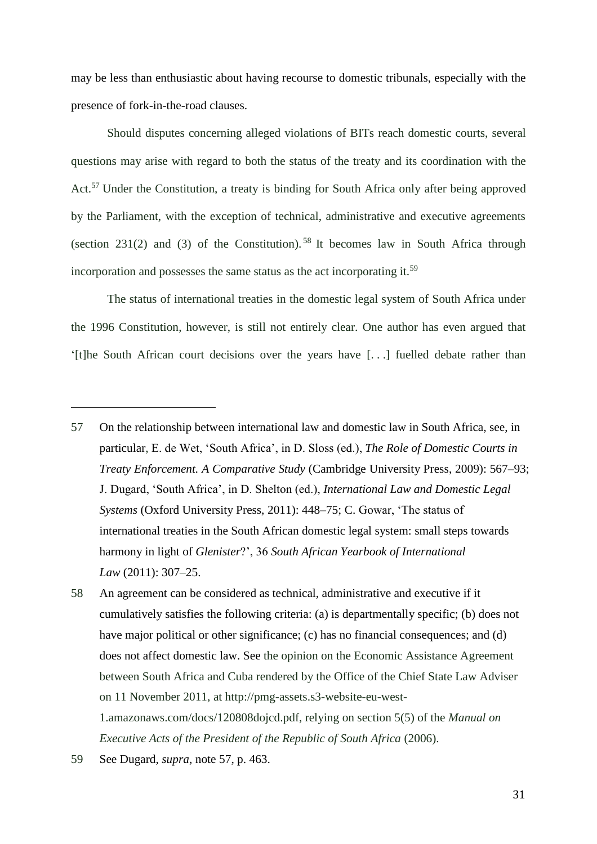may be less than enthusiastic about having recourse to domestic tribunals, especially with the presence of fork-in-the-road clauses.

<span id="page-30-0"></span>Should disputes concerning alleged violations of BITs reach domestic courts, several questions may arise with regard to both the status of the treaty and its coordination with the Act.<sup>57</sup> Under the Constitution, a treaty is binding for South Africa only after being approved by the Parliament, with the exception of technical, administrative and executive agreements (section 231(2) and (3) of the Constitution).<sup>58</sup> It becomes law in South Africa through incorporation and possesses the same status as the act incorporating it.<sup>59</sup>

The status of international treaties in the domestic legal system of South Africa under the 1996 Constitution, however, is still not entirely clear. One author has even argued that '[t]he South African court decisions over the years have [. . .] fuelled debate rather than

<sup>57</sup> On the relationship between international law and domestic law in South Africa, see, in particular, E. de Wet, 'South Africa', in D. Sloss (ed.), *The Role of Domestic Courts in Treaty Enforcement. A Comparative Study* (Cambridge University Press, 2009): 567–93; J. Dugard, 'South Africa', in D. Shelton (ed.), *International Law and Domestic Legal Systems* (Oxford University Press, 2011): 448–75; C. [Gowar, 'The status of](http://eng.scholar.cnki.net/result.aspx?q=AUTHOR%3a(Gowar%2c+Christin))  [international treaties in the South African domestic legal system: small steps towards](http://eng.scholar.cnki.net/result.aspx?q=AUTHOR%3a(Gowar%2c+Christin))  harmony in light of *Glenister*?', 36 *[South African Yearbook of International](http://eng.scholar.cnki.net/result.aspx?q=AUTHOR%3a(Gowar%2c+Christin))  [Law](http://eng.scholar.cnki.net/result.aspx?q=AUTHOR%3a(Gowar%2c+Christin))* (2011): 307–25.

<sup>58</sup> An agreement can be considered as technical, administrative and executive if it cumulatively satisfies the following criteria: (a) is departmentally specific; (b) does not have major political or other significance; (c) has no financial consequences; and (d) does not affect domestic law. See the opinion on the Economic Assistance Agreement between South Africa and Cuba rendered by the Office of the Chief State Law Adviser on 11 November 2011, at http://pmg-assets.s3-website-eu-west-1.amazonaws.com/docs/120808dojcd.pdf, relying on section 5(5) of the *Manual on Executive Acts of the President of the Republic of South Africa* (2006).

<sup>59</sup> See Dugard, *supra*, note [57,](#page-30-0) p. 463.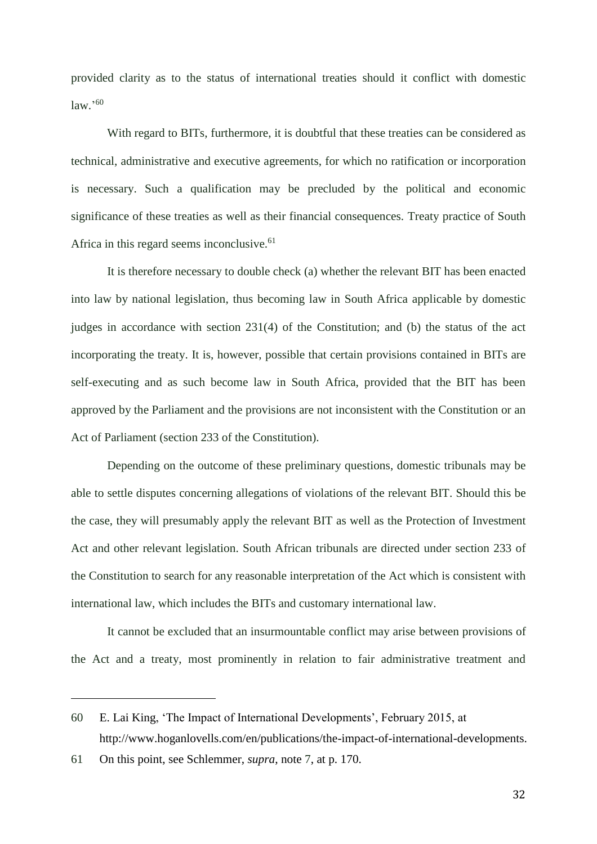provided clarity as to the status of international treaties should it conflict with domestic law.' 60

With regard to BITs, furthermore, it is doubtful that these treaties can be considered as technical, administrative and executive agreements, for which no ratification or incorporation is necessary. Such a qualification may be precluded by the political and economic significance of these treaties as well as their financial consequences. Treaty practice of South Africa in this regard seems inconclusive.<sup>61</sup>

It is therefore necessary to double check (a) whether the relevant BIT has been enacted into law by national legislation, thus becoming law in South Africa applicable by domestic judges in accordance with section 231(4) of the Constitution; and (b) the status of the act incorporating the treaty. It is, however, possible that certain provisions contained in BITs are self-executing and as such become law in South Africa, provided that the BIT has been approved by the Parliament and the provisions are not inconsistent with the Constitution or an Act of Parliament (section 233 of the Constitution).

Depending on the outcome of these preliminary questions, domestic tribunals may be able to settle disputes concerning allegations of violations of the relevant BIT. Should this be the case, they will presumably apply the relevant BIT as well as the Protection of Investment Act and other relevant legislation. South African tribunals are directed under section 233 of the Constitution to search for any reasonable interpretation of the Act which is consistent with international law, which includes the BITs and customary international law.

It cannot be excluded that an insurmountable conflict may arise between provisions of the Act and a treaty, most prominently in relation to fair administrative treatment and

<sup>60</sup> E. [Lai King,](file:///C:/Users/Gazzini/AppData/Roaming/Microsoft/Word/Lai%20King) 'The Impact of International Developments', February 2015, at http://www.hoganlovells.com/en/publications/the-impact-of-international-developments.

<sup>61</sup> On this point, see Schlemmer, *supra*, note [7,](#page-1-0) at p. 170.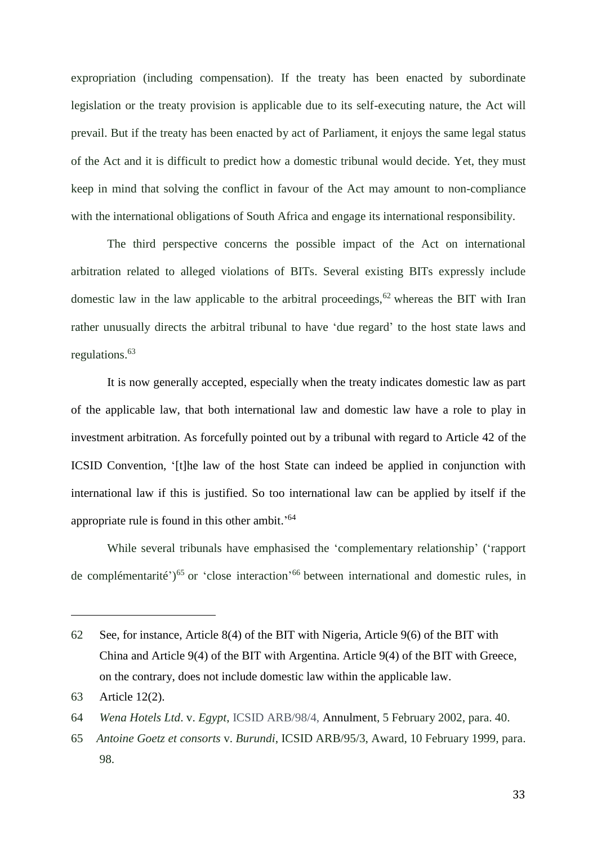expropriation (including compensation). If the treaty has been enacted by subordinate legislation or the treaty provision is applicable due to its self-executing nature, the Act will prevail. But if the treaty has been enacted by act of Parliament, it enjoys the same legal status of the Act and it is difficult to predict how a domestic tribunal would decide. Yet, they must keep in mind that solving the conflict in favour of the Act may amount to non-compliance with the international obligations of South Africa and engage its international responsibility.

The third perspective concerns the possible impact of the Act on international arbitration related to alleged violations of BITs. Several existing BITs expressly include domestic law in the law applicable to the arbitral proceedings, $62$  whereas the BIT with Iran rather unusually directs the arbitral tribunal to have 'due regard' to the host state laws and regulations. 63

It is now generally accepted, especially when the treaty indicates domestic law as part of the applicable law, that both international law and domestic law have a role to play in investment arbitration. As forcefully pointed out by a tribunal with regard to Article 42 of the ICSID Convention, '[t]he law of the host State can indeed be applied in conjunction with international law if this is justified. So too international law can be applied by itself if the appropriate rule is found in this other ambit.'<sup>64</sup>

While several tribunals have emphasised the 'complementary relationship' ('rapport de complémentarité')<sup>65</sup> or 'close interaction'<sup>66</sup> between international and domestic rules, in

<sup>62</sup> See, for instance, Article 8(4) of the BIT with Nigeria, Article 9(6) of the BIT with China and Article 9(4) of the BIT with Argentina. Article 9(4) of the BIT with Greece, on the contrary, does not include domestic law within the applicable law.

<sup>63</sup> Article 12(2).

<sup>64</sup> *Wena Hotels Ltd*. v. *Egypt*, ICSID ARB/98/4, Annulment, 5 February 2002, para. 40.

<sup>65</sup> *Antoine Goetz et consorts* v. *Burundi*, ICSID ARB/95/3, Award, 10 February 1999, para. 98.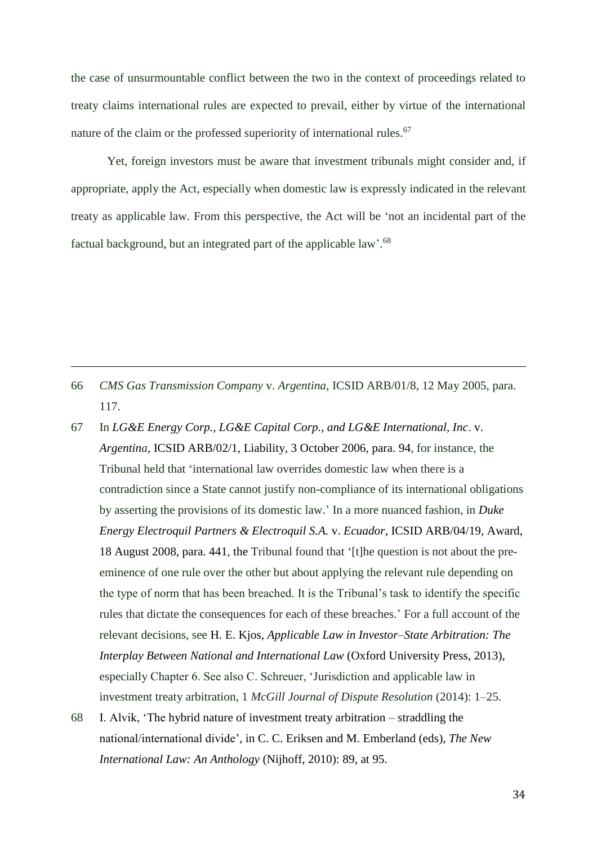the case of unsurmountable conflict between the two in the context of proceedings related to treaty claims international rules are expected to prevail, either by virtue of the international nature of the claim or the professed superiority of international rules.<sup>67</sup>

Yet, foreign investors must be aware that investment tribunals might consider and, if appropriate, apply the Act, especially when domestic law is expressly indicated in the relevant treaty as applicable law. From this perspective, the Act will be 'not an incidental part of the factual background, but an integrated part of the applicable law'.<sup>68</sup>

66 *CMS Gas Transmission Company* v. *Argentina*, ICSID ARB/01/8, 12 May 2005, para. 117.

- 67 In *LG&E Energy Corp., LG&E Capital Corp., and LG&E International, Inc*. v. *Argentina*, ICSID ARB/02/1, Liability, 3 October 2006, para. 94, for instance, the Tribunal held that 'international law overrides domestic law when there is a contradiction since a State cannot justify non-compliance of its international obligations by asserting the provisions of its domestic law.' In a more nuanced fashion, in *Duke Energy Electroquil Partners & Electroquil S.A.* v. *Ecuador*, ICSID ARB/04/19, Award, 18 August 2008, para. 441, the Tribunal found that '[t]he question is not about the preeminence of one rule over the other but about applying the relevant rule depending on the type of norm that has been breached. It is the Tribunal's task to identify the specific rules that dictate the consequences for each of these breaches.' For a full account of the relevant decisions, see H. E. Kjos, *Applicable Law in Investor–State Arbitration: The Interplay Between National and International Law* (Oxford University Press, 2013), especially Chapter 6. See also C. Schreuer, 'Jurisdiction and applicable law in investment treaty arbitration, 1 *McGill Journal of Dispute Resolution* (2014): 1–25.
- 68 I. Alvik, 'The hybrid nature of investment treaty arbitration straddling the national/international divide', in C. C. Eriksen and M. Emberland (eds), *The New International Law: An Anthology* (Nijhoff, 2010): 89, at 95.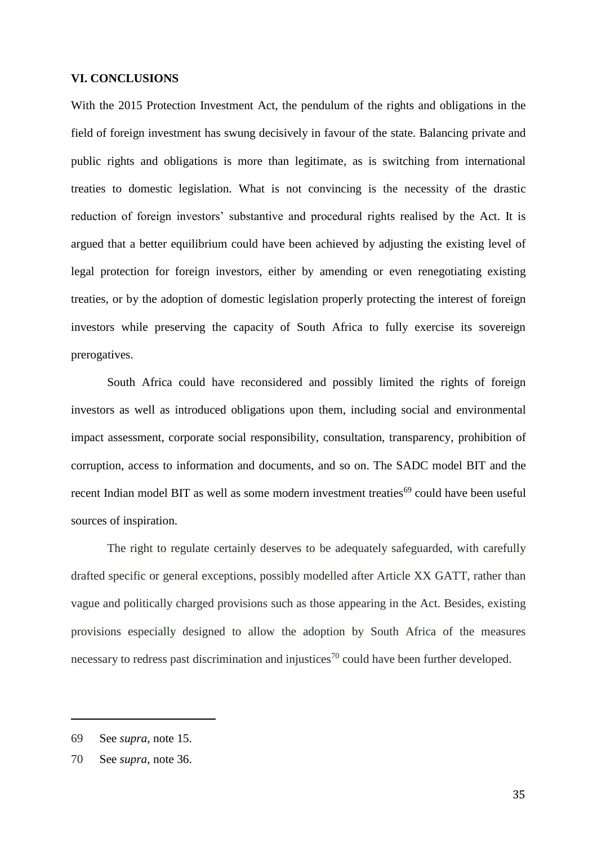## **VI. CONCLUSIONS**

With the 2015 Protection Investment Act, the pendulum of the rights and obligations in the field of foreign investment has swung decisively in favour of the state. Balancing private and public rights and obligations is more than legitimate, as is switching from international treaties to domestic legislation. What is not convincing is the necessity of the drastic reduction of foreign investors' substantive and procedural rights realised by the Act. It is argued that a better equilibrium could have been achieved by adjusting the existing level of legal protection for foreign investors, either by amending or even renegotiating existing treaties, or by the adoption of domestic legislation properly protecting the interest of foreign investors while preserving the capacity of South Africa to fully exercise its sovereign prerogatives.

South Africa could have reconsidered and possibly limited the rights of foreign investors as well as introduced obligations upon them, including social and environmental impact assessment, corporate social responsibility, consultation, transparency, prohibition of corruption, access to information and documents, and so on. The SADC model BIT and the recent Indian model BIT as well as some modern investment treaties<sup>69</sup> could have been useful sources of inspiration.

The right to regulate certainly deserves to be adequately safeguarded, with carefully drafted specific or general exceptions, possibly modelled after Article XX GATT, rather than vague and politically charged provisions such as those appearing in the Act. Besides, existing provisions especially designed to allow the adoption by South Africa of the measures necessary to redress past discrimination and injustices<sup>70</sup> could have been further developed.

<sup>69</sup> See *supra*, note [15.](#page-11-0)

<sup>70</sup> See *supra*, note [36.](#page-19-0)